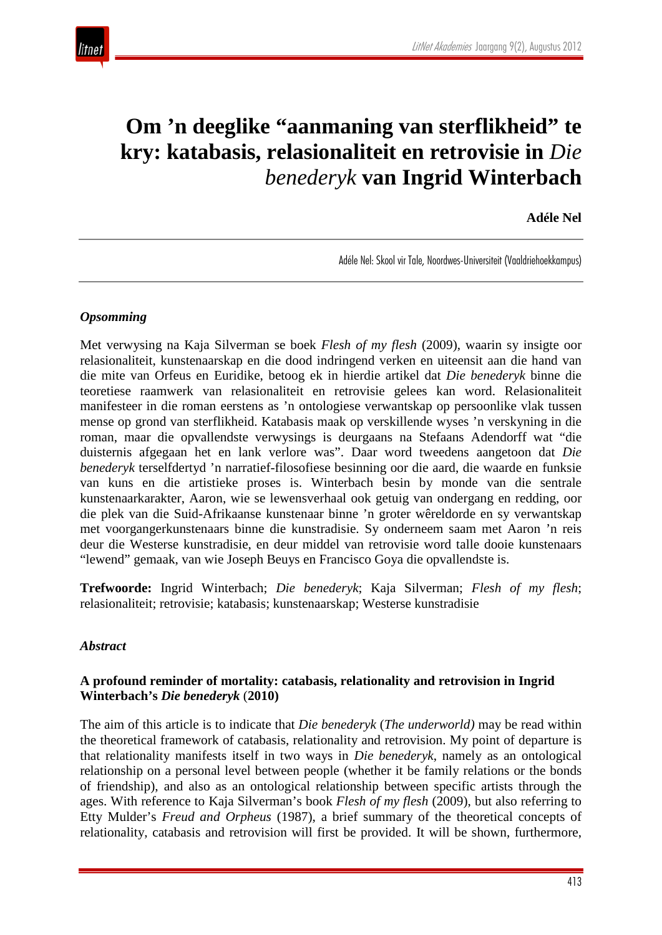

# **Om 'n deeglike "aanmaning van sterflikheid" te kry: katabasis, relasionaliteit en retrovisie in** *Die benederyk* **van Ingrid Winterbach**

**Adéle Nel**

Adéle Nel: Skool vir Tale, Noordwes-Universiteit (Vaaldriehoekkampus)

### *Opsomming*

Met verwysing na Kaja Silverman se boek *Flesh of my flesh* (2009), waarin sy insigte oor relasionaliteit, kunstenaarskap en die dood indringend verken en uiteensit aan die hand van die mite van Orfeus en Euridike, betoog ek in hierdie artikel dat *Die benederyk* binne die teoretiese raamwerk van relasionaliteit en retrovisie gelees kan word. Relasionaliteit manifesteer in die roman eerstens as 'n ontologiese verwantskap op persoonlike vlak tussen mense op grond van sterflikheid. Katabasis maak op verskillende wyses 'n verskyning in die roman, maar die opvallendste verwysings is deurgaans na Stefaans Adendorff wat "die duisternis afgegaan het en lank verlore was". Daar word tweedens aangetoon dat *Die benederyk* terselfdertyd 'n narratief-filosofiese besinning oor die aard, die waarde en funksie van kuns en die artistieke proses is. Winterbach besin by monde van die sentrale kunstenaarkarakter, Aaron, wie se lewensverhaal ook getuig van ondergang en redding, oor die plek van die Suid-Afrikaanse kunstenaar binne 'n groter wêreldorde en sy verwantskap met voorgangerkunstenaars binne die kunstradisie. Sy onderneem saam met Aaron 'n reis deur die Westerse kunstradisie, en deur middel van retrovisie word talle dooie kunstenaars "lewend" gemaak, van wie Joseph Beuys en Francisco Goya die opvallendste is.

**Trefwoorde:** Ingrid Winterbach; *Die benederyk*; Kaja Silverman; *Flesh of my flesh*; relasionaliteit; retrovisie; katabasis; kunstenaarskap; Westerse kunstradisie

#### *Abstract*

### **A profound reminder of mortality: catabasis, relationality and retrovision in Ingrid Winterbach's** *Die benederyk* (**2010)**

The aim of this article is to indicate that *Die benederyk* (*The underworld)* may be read within the theoretical framework of catabasis, relationality and retrovision. My point of departure is that relationality manifests itself in two ways in *Die benederyk*, namely as an ontological relationship on a personal level between people (whether it be family relations or the bonds of friendship), and also as an ontological relationship between specific artists through the ages. With reference to Kaja Silverman's book *Flesh of my flesh* (2009), but also referring to Etty Mulder's *Freud and Orpheus* (1987), a brief summary of the theoretical concepts of relationality, catabasis and retrovision will first be provided. It will be shown, furthermore,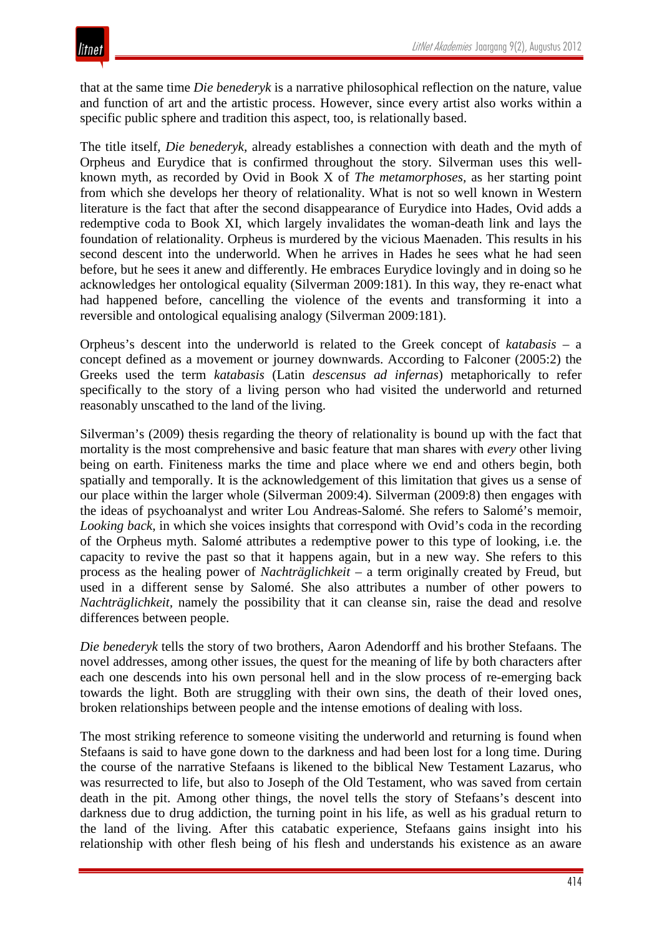that at the same time *Die benederyk* is a narrative philosophical reflection on the nature, value and function of art and the artistic process. However, since every artist also works within a specific public sphere and tradition this aspect, too, is relationally based.

The title itself, *Die benederyk*, already establishes a connection with death and the myth of Orpheus and Eurydice that is confirmed throughout the story. Silverman uses this wellknown myth, as recorded by Ovid in Book X of *The metamorphoses,* as her starting point from which she develops her theory of relationality. What is not so well known in Western literature is the fact that after the second disappearance of Eurydice into Hades, Ovid adds a redemptive coda to Book XI, which largely invalidates the woman-death link and lays the foundation of relationality. Orpheus is murdered by the vicious Maenaden. This results in his second descent into the underworld. When he arrives in Hades he sees what he had seen before, but he sees it anew and differently. He embraces Eurydice lovingly and in doing so he acknowledges her ontological equality (Silverman 2009:181). In this way, they re-enact what had happened before, cancelling the violence of the events and transforming it into a reversible and ontological equalising analogy (Silverman 2009:181).

Orpheus's descent into the underworld is related to the Greek concept of *katabasis* – a concept defined as a movement or journey downwards. According to Falconer (2005:2) the Greeks used the term *katabasis* (Latin *descensus ad infernas*) metaphorically to refer specifically to the story of a living person who had visited the underworld and returned reasonably unscathed to the land of the living.

Silverman's (2009) thesis regarding the theory of relationality is bound up with the fact that mortality is the most comprehensive and basic feature that man shares with *every* other living being on earth. Finiteness marks the time and place where we end and others begin, both spatially and temporally. It is the acknowledgement of this limitation that gives us a sense of our place within the larger whole (Silverman 2009:4). Silverman (2009:8) then engages with the ideas of psychoanalyst and writer Lou Andreas-Salomé. She refers to Salomé's memoir, *Looking back*, in which she voices insights that correspond with Ovid's coda in the recording of the Orpheus myth. Salomé attributes a redemptive power to this type of looking, i.e. the capacity to revive the past so that it happens again, but in a new way. She refers to this process as the healing power of *Nachträglichkeit* – a term originally created by Freud, but used in a different sense by Salomé. She also attributes a number of other powers to *Nachträglichkeit,* namely the possibility that it can cleanse sin, raise the dead and resolve differences between people.

*Die benederyk* tells the story of two brothers, Aaron Adendorff and his brother Stefaans. The novel addresses, among other issues, the quest for the meaning of life by both characters after each one descends into his own personal hell and in the slow process of re-emerging back towards the light. Both are struggling with their own sins, the death of their loved ones, broken relationships between people and the intense emotions of dealing with loss.

The most striking reference to someone visiting the underworld and returning is found when Stefaans is said to have gone down to the darkness and had been lost for a long time. During the course of the narrative Stefaans is likened to the biblical New Testament Lazarus, who was resurrected to life, but also to Joseph of the Old Testament, who was saved from certain death in the pit. Among other things, the novel tells the story of Stefaans's descent into darkness due to drug addiction, the turning point in his life, as well as his gradual return to the land of the living. After this catabatic experience, Stefaans gains insight into his relationship with other flesh being of his flesh and understands his existence as an aware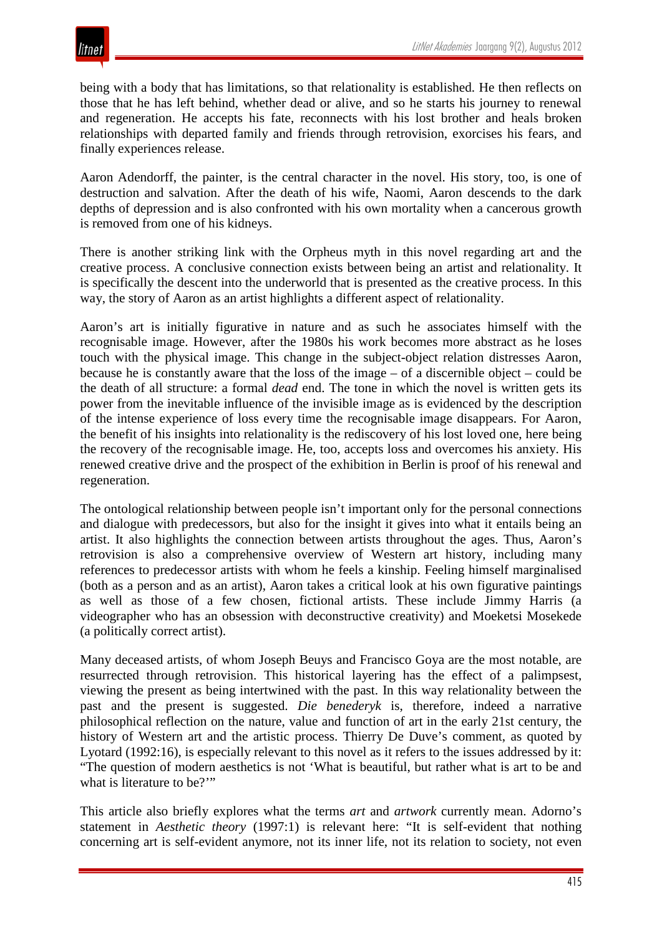

being with a body that has limitations, so that relationality is established. He then reflects on those that he has left behind, whether dead or alive, and so he starts his journey to renewal and regeneration. He accepts his fate, reconnects with his lost brother and heals broken relationships with departed family and friends through retrovision, exorcises his fears, and finally experiences release.

Aaron Adendorff, the painter, is the central character in the novel. His story, too, is one of destruction and salvation. After the death of his wife, Naomi, Aaron descends to the dark depths of depression and is also confronted with his own mortality when a cancerous growth is removed from one of his kidneys.

There is another striking link with the Orpheus myth in this novel regarding art and the creative process. A conclusive connection exists between being an artist and relationality. It is specifically the descent into the underworld that is presented as the creative process. In this way, the story of Aaron as an artist highlights a different aspect of relationality.

Aaron's art is initially figurative in nature and as such he associates himself with the recognisable image. However, after the 1980s his work becomes more abstract as he loses touch with the physical image. This change in the subject-object relation distresses Aaron, because he is constantly aware that the loss of the image – of a discernible object – could be the death of all structure: a formal *dead* end. The tone in which the novel is written gets its power from the inevitable influence of the invisible image as is evidenced by the description of the intense experience of loss every time the recognisable image disappears. For Aaron, the benefit of his insights into relationality is the rediscovery of his lost loved one, here being the recovery of the recognisable image. He, too, accepts loss and overcomes his anxiety. His renewed creative drive and the prospect of the exhibition in Berlin is proof of his renewal and regeneration.

The ontological relationship between people isn't important only for the personal connections and dialogue with predecessors, but also for the insight it gives into what it entails being an artist. It also highlights the connection between artists throughout the ages. Thus, Aaron's retrovision is also a comprehensive overview of Western art history, including many references to predecessor artists with whom he feels a kinship. Feeling himself marginalised (both as a person and as an artist), Aaron takes a critical look at his own figurative paintings as well as those of a few chosen, fictional artists. These include Jimmy Harris (a videographer who has an obsession with deconstructive creativity) and Moeketsi Mosekede (a politically correct artist).

Many deceased artists, of whom Joseph Beuys and Francisco Goya are the most notable, are resurrected through retrovision. This historical layering has the effect of a palimpsest, viewing the present as being intertwined with the past. In this way relationality between the past and the present is suggested. *Die benederyk* is, therefore, indeed a narrative philosophical reflection on the nature, value and function of art in the early 21st century, the history of Western art and the artistic process. Thierry De Duve's comment, as quoted by Lyotard (1992:16), is especially relevant to this novel as it refers to the issues addressed by it: "The question of modern aesthetics is not 'What is beautiful, but rather what is art to be and what is literature to be?"

This article also briefly explores what the terms *art* and *artwork* currently mean. Adorno's statement in *Aesthetic theory* (1997:1) is relevant here: "It is self-evident that nothing concerning art is self-evident anymore, not its inner life, not its relation to society, not even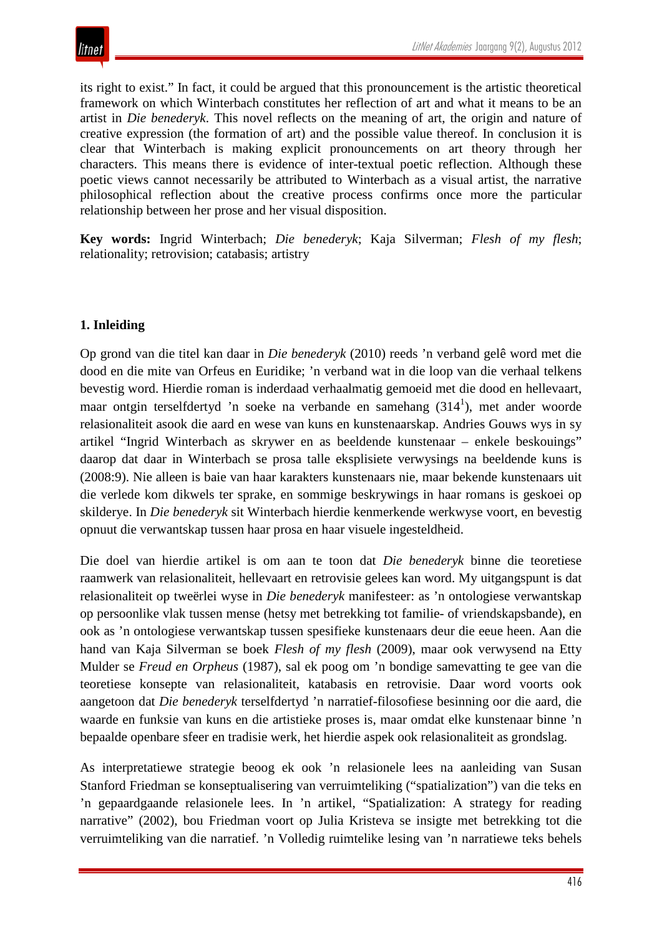its right to exist." In fact, it could be argued that this pronouncement is the artistic theoretical framework on which Winterbach constitutes her reflection of art and what it means to be an artist in *Die benederyk*. This novel reflects on the meaning of art, the origin and nature of creative expression (the formation of art) and the possible value thereof. In conclusion it is clear that Winterbach is making explicit pronouncements on art theory through her characters. This means there is evidence of inter-textual poetic reflection. Although these poetic views cannot necessarily be attributed to Winterbach as a visual artist, the narrative philosophical reflection about the creative process confirms once more the particular relationship between her prose and her visual disposition.

**Key words:** Ingrid Winterbach; *Die benederyk*; Kaja Silverman; *Flesh of my flesh*; relationality; retrovision; catabasis; artistry

### **1. Inleiding**

Op grond van die titel kan daar in *Die benederyk* (2010) reeds 'n verband gelê word met die dood en die mite van Orfeus en Euridike; 'n verband wat in die loop van die verhaal telkens bevestig word. Hierdie roman is inderdaad verhaalmatig gemoeid met die dood en hellevaart, maar ontgin terselfdertyd 'n soeke na verbande en samehang  $(314<sup>1</sup>)$ , met ander woorde relasionaliteit asook die aard en wese van kuns en kunstenaarskap. Andries Gouws wys in sy artikel "Ingrid Winterbach as skrywer en as beeldende kunstenaar – enkele beskouings" daarop dat daar in Winterbach se prosa talle eksplisiete verwysings na beeldende kuns is (2008:9). Nie alleen is baie van haar karakters kunstenaars nie, maar bekende kunstenaars uit die verlede kom dikwels ter sprake, en sommige beskrywings in haar romans is geskoei op skilderye. In *Die benederyk* sit Winterbach hierdie kenmerkende werkwyse voort, en bevestig opnuut die verwantskap tussen haar prosa en haar visuele ingesteldheid.

Die doel van hierdie artikel is om aan te toon dat *Die benederyk* binne die teoretiese raamwerk van relasionaliteit, hellevaart en retrovisie gelees kan word. My uitgangspunt is dat relasionaliteit op tweërlei wyse in *Die benederyk* manifesteer: as 'n ontologiese verwantskap op persoonlike vlak tussen mense (hetsy met betrekking tot familie- of vriendskapsbande), en ook as 'n ontologiese verwantskap tussen spesifieke kunstenaars deur die eeue heen. Aan die hand van Kaja Silverman se boek *Flesh of my flesh* (2009), maar ook verwysend na Etty Mulder se *Freud en Orpheus* (1987), sal ek poog om 'n bondige samevatting te gee van die teoretiese konsepte van relasionaliteit, katabasis en retrovisie. Daar word voorts ook aangetoon dat *Die benederyk* terselfdertyd 'n narratief-filosofiese besinning oor die aard, die waarde en funksie van kuns en die artistieke proses is, maar omdat elke kunstenaar binne 'n bepaalde openbare sfeer en tradisie werk, het hierdie aspek ook relasionaliteit as grondslag.

As interpretatiewe strategie beoog ek ook 'n relasionele lees na aanleiding van Susan Stanford Friedman se konseptualisering van verruimteliking ("spatialization") van die teks en 'n gepaardgaande relasionele lees. In 'n artikel, "Spatialization: A strategy for reading narrative" (2002), bou Friedman voort op Julia Kristeva se insigte met betrekking tot die verruimteliking van die narratief. 'n Volledig ruimtelike lesing van 'n narratiewe teks behels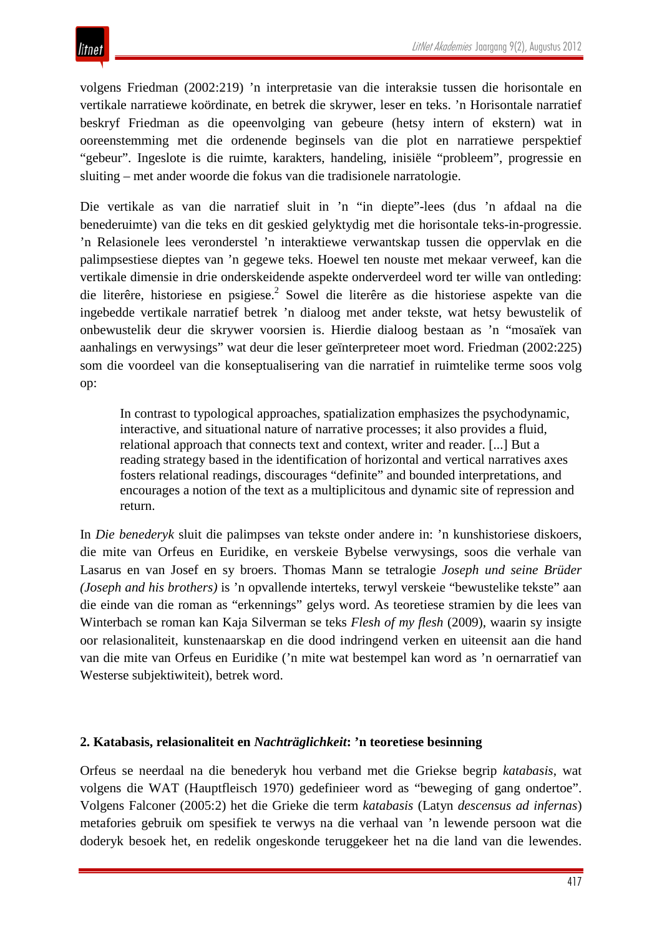volgens Friedman (2002:219) 'n interpretasie van die interaksie tussen die horisontale en vertikale narratiewe koördinate, en betrek die skrywer, leser en teks. 'n Horisontale narratief beskryf Friedman as die opeenvolging van gebeure (hetsy intern of ekstern) wat in ooreenstemming met die ordenende beginsels van die plot en narratiewe perspektief "gebeur". Ingeslote is die ruimte, karakters, handeling, inisiële "probleem", progressie en sluiting – met ander woorde die fokus van die tradisionele narratologie.

Die vertikale as van die narratief sluit in 'n "in diepte"-lees (dus 'n afdaal na die benederuimte) van die teks en dit geskied gelyktydig met die horisontale teks-in-progressie. 'n Relasionele lees veronderstel 'n interaktiewe verwantskap tussen die oppervlak en die palimpsestiese dieptes van 'n gegewe teks. Hoewel ten nouste met mekaar verweef, kan die vertikale dimensie in drie onderskeidende aspekte onderverdeel word ter wille van ontleding: die literêre, historiese en psigiese.<sup>2</sup> Sowel die literêre as die historiese aspekte van die ingebedde vertikale narratief betrek 'n dialoog met ander tekste, wat hetsy bewustelik of onbewustelik deur die skrywer voorsien is. Hierdie dialoog bestaan as 'n "mosaïek van aanhalings en verwysings" wat deur die leser geïnterpreteer moet word. Friedman (2002:225) som die voordeel van die konseptualisering van die narratief in ruimtelike terme soos volg op:

In contrast to typological approaches, spatialization emphasizes the psychodynamic, interactive, and situational nature of narrative processes; it also provides a fluid, relational approach that connects text and context, writer and reader. [...] But a reading strategy based in the identification of horizontal and vertical narratives axes fosters relational readings, discourages "definite" and bounded interpretations, and encourages a notion of the text as a multiplicitous and dynamic site of repression and return.

In *Die benederyk* sluit die palimpses van tekste onder andere in: 'n kunshistoriese diskoers, die mite van Orfeus en Euridike, en verskeie Bybelse verwysings, soos die verhale van Lasarus en van Josef en sy broers. Thomas Mann se tetralogie *Joseph und seine Brüder (Joseph and his brothers)* is 'n opvallende interteks, terwyl verskeie "bewustelike tekste" aan die einde van die roman as "erkennings" gelys word. As teoretiese stramien by die lees van Winterbach se roman kan Kaja Silverman se teks *Flesh of my flesh* (2009), waarin sy insigte oor relasionaliteit, kunstenaarskap en die dood indringend verken en uiteensit aan die hand van die mite van Orfeus en Euridike ('n mite wat bestempel kan word as 'n oernarratief van Westerse subjektiwiteit), betrek word.

### **2. Katabasis, relasionaliteit en** *Nachträglichkeit***: 'n teoretiese besinning**

Orfeus se neerdaal na die benederyk hou verband met die Griekse begrip *katabasis*, wat volgens die WAT (Hauptfleisch 1970) gedefinieer word as "beweging of gang ondertoe". Volgens Falconer (2005:2) het die Grieke die term *katabasis* (Latyn *descensus ad infernas*) metafories gebruik om spesifiek te verwys na die verhaal van 'n lewende persoon wat die doderyk besoek het, en redelik ongeskonde teruggekeer het na die land van die lewendes.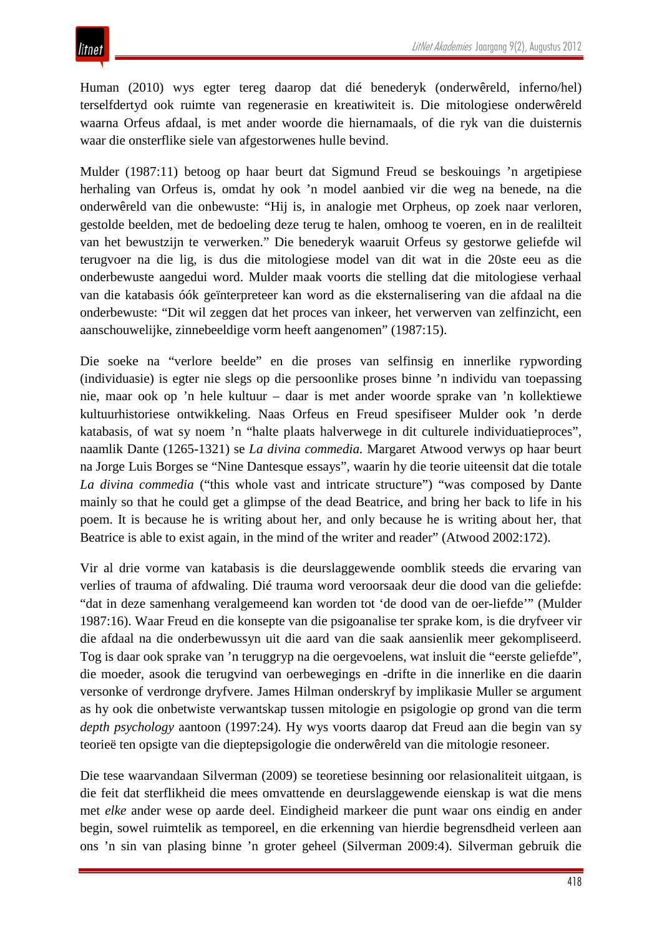Human (2010) wys egter tereg daarop dat dié benederyk (onderwêreld, inferno/hel) terselfdertyd ook ruimte van regenerasie en kreatiwiteit is. Die mitologiese onderwêreld waarna Orfeus afdaal, is met ander woorde die hiernamaals, of die ryk van die duisternis waar die onsterflike siele van afgestorwenes hulle bevind.

Mulder (1987:11) betoog op haar beurt dat Sigmund Freud se beskouings 'n argetipiese herhaling van Orfeus is, omdat hy ook 'n model aanbied vir die weg na benede, na die onderwêreld van die onbewuste: "Hij is, in analogie met Orpheus, op zoek naar verloren, gestolde beelden, met de bedoeling deze terug te halen, omhoog te voeren, en in de realilteit van het bewustzijn te verwerken." Die benederyk waaruit Orfeus sy gestorwe geliefde wil terugvoer na die lig, is dus die mitologiese model van dit wat in die 20ste eeu as die onderbewuste aangedui word. Mulder maak voorts die stelling dat die mitologiese verhaal van die katabasis óók geïnterpreteer kan word as die eksternalisering van die afdaal na die onderbewuste: "Dit wil zeggen dat het proces van inkeer, het verwerven van zelfinzicht, een aanschouwelijke, zinnebeeldige vorm heeft aangenomen" (1987:15).

Die soeke na "verlore beelde" en die proses van selfinsig en innerlike rypwording (individuasie) is egter nie slegs op die persoonlike proses binne 'n individu van toepassing nie, maar ook op 'n hele kultuur – daar is met ander woorde sprake van 'n kollektiewe kultuurhistoriese ontwikkeling. Naas Orfeus en Freud spesifiseer Mulder ook 'n derde katabasis, of wat sy noem 'n "halte plaats halverwege in dit culturele individuatieproces", naamlik Dante (1265-1321) se *La divina commedia.* Margaret Atwood verwys op haar beurt na Jorge Luis Borges se "Nine Dantesque essays", waarin hy die teorie uiteensit dat die totale *La divina commedia* ("this whole vast and intricate structure") "was composed by Dante mainly so that he could get a glimpse of the dead Beatrice, and bring her back to life in his poem. It is because he is writing about her, and only because he is writing about her, that Beatrice is able to exist again, in the mind of the writer and reader" (Atwood 2002:172).

Vir al drie vorme van katabasis is die deurslaggewende oomblik steeds die ervaring van verlies of trauma of afdwaling. Dié trauma word veroorsaak deur die dood van die geliefde: "dat in deze samenhang veralgemeend kan worden tot 'de dood van de oer-liefde'" (Mulder 1987:16). Waar Freud en die konsepte van die psigoanalise ter sprake kom, is die dryfveer vir die afdaal na die onderbewussyn uit die aard van die saak aansienlik meer gekompliseerd. Tog is daar ook sprake van 'n teruggryp na die oergevoelens, wat insluit die "eerste geliefde", die moeder, asook die terugvind van oerbewegings en -drifte in die innerlike en die daarin versonke of verdronge dryfvere. James Hilman onderskryf by implikasie Muller se argument as hy ook die onbetwiste verwantskap tussen mitologie en psigologie op grond van die term *depth psychology* aantoon (1997:24)*.* Hy wys voorts daarop dat Freud aan die begin van sy teorieë ten opsigte van die dieptepsigologie die onderwêreld van die mitologie resoneer.

Die tese waarvandaan Silverman (2009) se teoretiese besinning oor relasionaliteit uitgaan, is die feit dat sterflikheid die mees omvattende en deurslaggewende eienskap is wat die mens met *elke* ander wese op aarde deel. Eindigheid markeer die punt waar ons eindig en ander begin, sowel ruimtelik as temporeel, en die erkenning van hierdie begrensdheid verleen aan ons 'n sin van plasing binne 'n groter geheel (Silverman 2009:4). Silverman gebruik die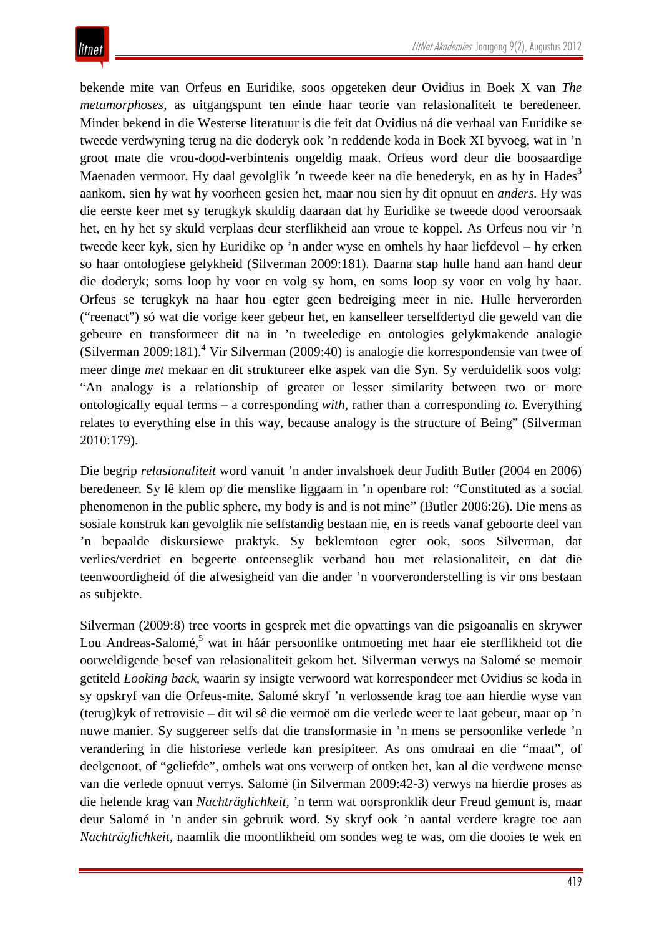bekende mite van Orfeus en Euridike, soos opgeteken deur Ovidius in Boek X van *The metamorphoses*, as uitgangspunt ten einde haar teorie van relasionaliteit te beredeneer*.* Minder bekend in die Westerse literatuur is die feit dat Ovidius ná die verhaal van Euridike se tweede verdwyning terug na die doderyk ook 'n reddende koda in Boek XI byvoeg, wat in 'n groot mate die vrou-dood-verbintenis ongeldig maak. Orfeus word deur die boosaardige Maenaden vermoor. Hy daal gevolglik 'n tweede keer na die benederyk, en as hy in Hades<sup>3</sup> aankom, sien hy wat hy voorheen gesien het, maar nou sien hy dit opnuut en *anders.* Hy was die eerste keer met sy terugkyk skuldig daaraan dat hy Euridike se tweede dood veroorsaak het, en hy het sy skuld verplaas deur sterflikheid aan vroue te koppel. As Orfeus nou vir 'n tweede keer kyk, sien hy Euridike op 'n ander wyse en omhels hy haar liefdevol – hy erken so haar ontologiese gelykheid (Silverman 2009:181). Daarna stap hulle hand aan hand deur die doderyk; soms loop hy voor en volg sy hom, en soms loop sy voor en volg hy haar. Orfeus se terugkyk na haar hou egter geen bedreiging meer in nie. Hulle herverorden ("reenact") só wat die vorige keer gebeur het, en kanselleer terselfdertyd die geweld van die gebeure en transformeer dit na in 'n tweeledige en ontologies gelykmakende analogie (Silverman 2009:181). [4](http://litnet.co.za/Article/om-n-deeglike-aanmaning-van-sterflikheid-te-kry-katabasis-relasionaliteit-en-retrovisie-in#_edn4) Vir Silverman (2009:40) is analogie die korrespondensie van twee of meer dinge *met* mekaar en dit struktureer elke aspek van die Syn. Sy verduidelik soos volg: "An analogy is a relationship of greater or lesser similarity between two or more ontologically equal terms – a corresponding *with,* rather than a corresponding *to.* Everything relates to everything else in this way, because analogy is the structure of Being" (Silverman 2010:179).

Die begrip *relasionaliteit* word vanuit 'n ander invalshoek deur Judith Butler (2004 en 2006) beredeneer. Sy lê klem op die menslike liggaam in 'n openbare rol: "Constituted as a social phenomenon in the public sphere, my body is and is not mine" (Butler 2006:26). Die mens as sosiale konstruk kan gevolglik nie selfstandig bestaan nie, en is reeds vanaf geboorte deel van 'n bepaalde diskursiewe praktyk. Sy beklemtoon egter ook, soos Silverman, dat verlies/verdriet en begeerte onteenseglik verband hou met relasionaliteit, en dat die teenwoordigheid óf die afwesigheid van die ander 'n voorveronderstelling is vir ons bestaan as subjekte.

Silverman (2009:8) tree voorts in gesprek met die opvattings van die psigoanalis en skrywer Lou Andreas-Salomé,<sup>5</sup> wat in háár persoonlike ontmoeting met haar eie sterflikheid tot die oorweldigende besef van relasionaliteit gekom het. Silverman verwys na Salomé se memoir getiteld *Looking back,* waarin sy insigte verwoord wat korrespondeer met Ovidius se koda in sy opskryf van die Orfeus-mite. Salomé skryf 'n verlossende krag toe aan hierdie wyse van (terug)kyk of retrovisie – dit wil sê die vermoë om die verlede weer te laat gebeur, maar op 'n nuwe manier. Sy suggereer selfs dat die transformasie in 'n mens se persoonlike verlede 'n verandering in die historiese verlede kan presipiteer. As ons omdraai en die "maat", of deelgenoot, of "geliefde", omhels wat ons verwerp of ontken het, kan al die verdwene mense van die verlede opnuut verrys. Salomé (in Silverman 2009:42-3) verwys na hierdie proses as die helende krag van *Nachträglichkeit,* 'n term wat oorspronklik deur Freud gemunt is, maar deur Salomé in 'n ander sin gebruik word. Sy skryf ook 'n aantal verdere kragte toe aan *Nachträglichkeit,* naamlik die moontlikheid om sondes weg te was, om die dooies te wek en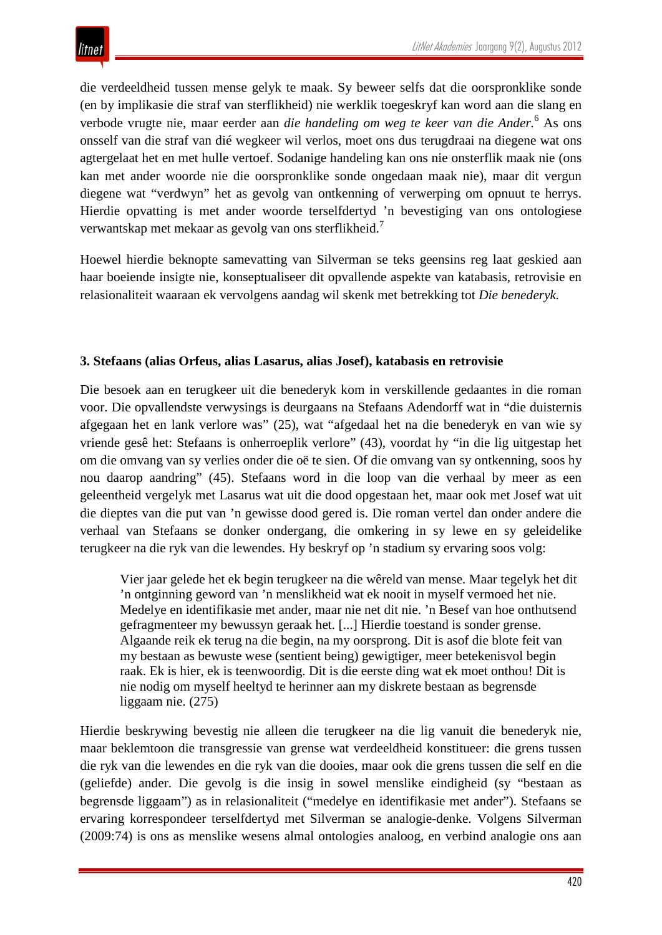die verdeeldheid tussen mense gelyk te maak. Sy beweer selfs dat die oorspronklike sonde (en by implikasie die straf van sterflikheid) nie werklik toegeskryf kan word aan die slang en verbode vrugte nie, maar eerder aan *die handeling om weg te keer van die Ander[.](http://litnet.co.za/Article/om-n-deeglike-aanmaning-van-sterflikheid-te-kry-katabasis-relasionaliteit-en-retrovisie-in#_edn6)* <sup>6</sup> As ons onsself van die straf van dié wegkeer wil verlos, moet ons dus terugdraai na diegene wat ons agtergelaat het en met hulle vertoef. Sodanige handeling kan ons nie onsterflik maak nie (ons kan met ander woorde nie die oorspronklike sonde ongedaan maak nie), maar dit vergun diegene wat "verdwyn" het as gevolg van ontkenning of verwerping om opnuut te herrys. Hierdie opvatting is met ander woorde terselfdertyd 'n bevestiging van ons ontologiese verwantskap met mekaar as gevolg van ons sterflikheid.7

Hoewel hierdie beknopte samevatting van Silverman se teks geensins reg laat geskied aan haar boeiende insigte nie, konseptualiseer dit opvallende aspekte van katabasis, retrovisie en relasionaliteit waaraan ek vervolgens aandag wil skenk met betrekking tot *Die benederyk.*

### **3. Stefaans (alias Orfeus, alias Lasarus, alias Josef), katabasis en retrovisie**

Die besoek aan en terugkeer uit die benederyk kom in verskillende gedaantes in die roman voor. Die opvallendste verwysings is deurgaans na Stefaans Adendorff wat in "die duisternis afgegaan het en lank verlore was" (25), wat "afgedaal het na die benederyk en van wie sy vriende gesê het: Stefaans is onherroeplik verlore" (43), voordat hy "in die lig uitgestap het om die omvang van sy verlies onder die oë te sien. Of die omvang van sy ontkenning, soos hy nou daarop aandring" (45). Stefaans word in die loop van die verhaal by meer as een geleentheid vergelyk met Lasarus wat uit die dood opgestaan het, maar ook met Josef wat uit die dieptes van die put van 'n gewisse dood gered is. Die roman vertel dan onder andere die verhaal van Stefaans se donker ondergang, die omkering in sy lewe en sy geleidelike terugkeer na die ryk van die lewendes. Hy beskryf op 'n stadium sy ervaring soos volg:

Vier jaar gelede het ek begin terugkeer na die wêreld van mense. Maar tegelyk het dit 'n ontginning geword van 'n menslikheid wat ek nooit in myself vermoed het nie. Medelye en identifikasie met ander, maar nie net dit nie. 'n Besef van hoe onthutsend gefragmenteer my bewussyn geraak het. [...] Hierdie toestand is sonder grense. Algaande reik ek terug na die begin, na my oorsprong. Dit is asof die blote feit van my bestaan as bewuste wese (sentient being) gewigtiger, meer betekenisvol begin raak. Ek is hier, ek is teenwoordig. Dit is die eerste ding wat ek moet onthou! Dit is nie nodig om myself heeltyd te herinner aan my diskrete bestaan as begrensde liggaam nie. (275)

Hierdie beskrywing bevestig nie alleen die terugkeer na die lig vanuit die benederyk nie, maar beklemtoon die transgressie van grense wat verdeeldheid konstitueer: die grens tussen die ryk van die lewendes en die ryk van die dooies, maar ook die grens tussen die self en die (geliefde) ander. Die gevolg is die insig in sowel menslike eindigheid (sy "bestaan as begrensde liggaam") as in relasionaliteit ("medelye en identifikasie met ander"). Stefaans se ervaring korrespondeer terselfdertyd met Silverman se analogie-denke. Volgens Silverman (2009:74) is ons as menslike wesens almal ontologies analoog, en verbind analogie ons aan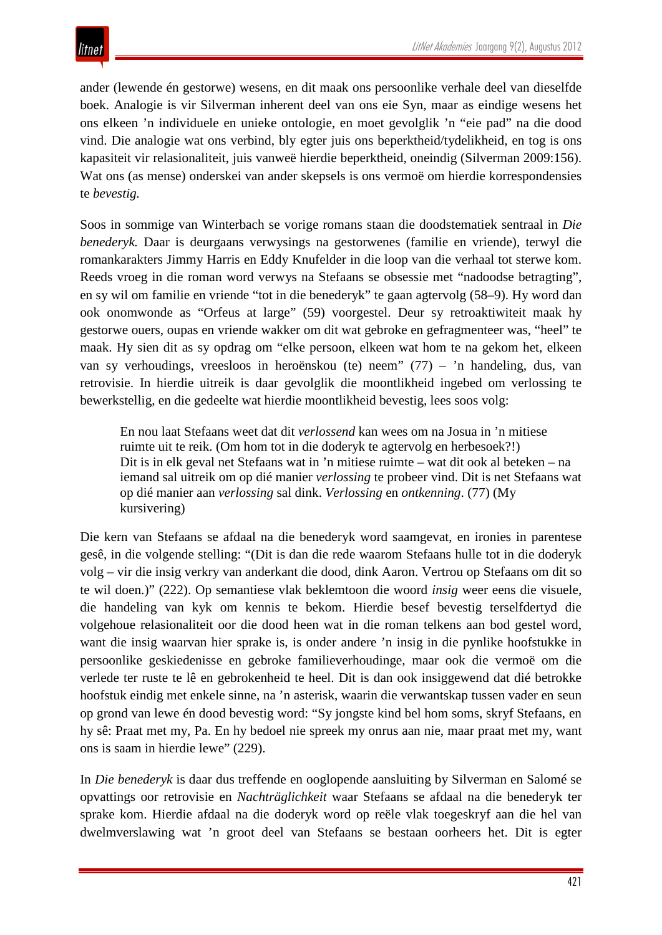ander (lewende én gestorwe) wesens, en dit maak ons persoonlike verhale deel van dieselfde boek. Analogie is vir Silverman inherent deel van ons eie Syn, maar as eindige wesens het ons elkeen 'n individuele en unieke ontologie, en moet gevolglik 'n "eie pad" na die dood vind. Die analogie wat ons verbind, bly egter juis ons beperktheid/tydelikheid, en tog is ons kapasiteit vir relasionaliteit, juis vanweë hierdie beperktheid, oneindig (Silverman 2009:156). Wat ons (as mense) onderskei van ander skepsels is ons vermoë om hierdie korrespondensies te *bevestig.*

Soos in sommige van Winterbach se vorige romans staan die doodstematiek sentraal in *Die benederyk.* Daar is deurgaans verwysings na gestorwenes (familie en vriende), terwyl die romankarakters Jimmy Harris en Eddy Knufelder in die loop van die verhaal tot sterwe kom. Reeds vroeg in die roman word verwys na Stefaans se obsessie met "nadoodse betragting", en sy wil om familie en vriende "tot in die benederyk" te gaan agtervolg (58–9). Hy word dan ook onomwonde as "Orfeus at large" (59) voorgestel. Deur sy retroaktiwiteit maak hy gestorwe ouers, oupas en vriende wakker om dit wat gebroke en gefragmenteer was, "heel" te maak. Hy sien dit as sy opdrag om "elke persoon, elkeen wat hom te na gekom het, elkeen van sy verhoudings, vreesloos in heroënskou (te) neem" (77) – 'n handeling, dus, van retrovisie. In hierdie uitreik is daar gevolglik die moontlikheid ingebed om verlossing te bewerkstellig, en die gedeelte wat hierdie moontlikheid bevestig, lees soos volg:

En nou laat Stefaans weet dat dit *verlossend* kan wees om na Josua in 'n mitiese ruimte uit te reik. (Om hom tot in die doderyk te agtervolg en herbesoek?!) Dit is in elk geval net Stefaans wat in 'n mitiese ruimte – wat dit ook al beteken – na iemand sal uitreik om op dié manier *verlossing* te probeer vind. Dit is net Stefaans wat op dié manier aan *verlossing* sal dink. *Verlossing* en *ontkenning*. (77) (My kursivering)

Die kern van Stefaans se afdaal na die benederyk word saamgevat, en ironies in parentese gesê, in die volgende stelling: "(Dit is dan die rede waarom Stefaans hulle tot in die doderyk volg – vir die insig verkry van anderkant die dood, dink Aaron. Vertrou op Stefaans om dit so te wil doen.)" (222). Op semantiese vlak beklemtoon die woord *insig* weer eens die visuele, die handeling van kyk om kennis te bekom. Hierdie besef bevestig terselfdertyd die volgehoue relasionaliteit oor die dood heen wat in die roman telkens aan bod gestel word, want die insig waarvan hier sprake is, is onder andere 'n insig in die pynlike hoofstukke in persoonlike geskiedenisse en gebroke familieverhoudinge, maar ook die vermoë om die verlede ter ruste te lê en gebrokenheid te heel. Dit is dan ook insiggewend dat dié betrokke hoofstuk eindig met enkele sinne, na 'n asterisk, waarin die verwantskap tussen vader en seun op grond van lewe én dood bevestig word: "Sy jongste kind bel hom soms, skryf Stefaans, en hy sê: Praat met my, Pa. En hy bedoel nie spreek my onrus aan nie, maar praat met my, want ons is saam in hierdie lewe" (229).

In *Die benederyk* is daar dus treffende en ooglopende aansluiting by Silverman en Salomé se opvattings oor retrovisie en *Nachträglichkeit* waar Stefaans se afdaal na die benederyk ter sprake kom. Hierdie afdaal na die doderyk word op reële vlak toegeskryf aan die hel van dwelmverslawing wat 'n groot deel van Stefaans se bestaan oorheers het. Dit is egter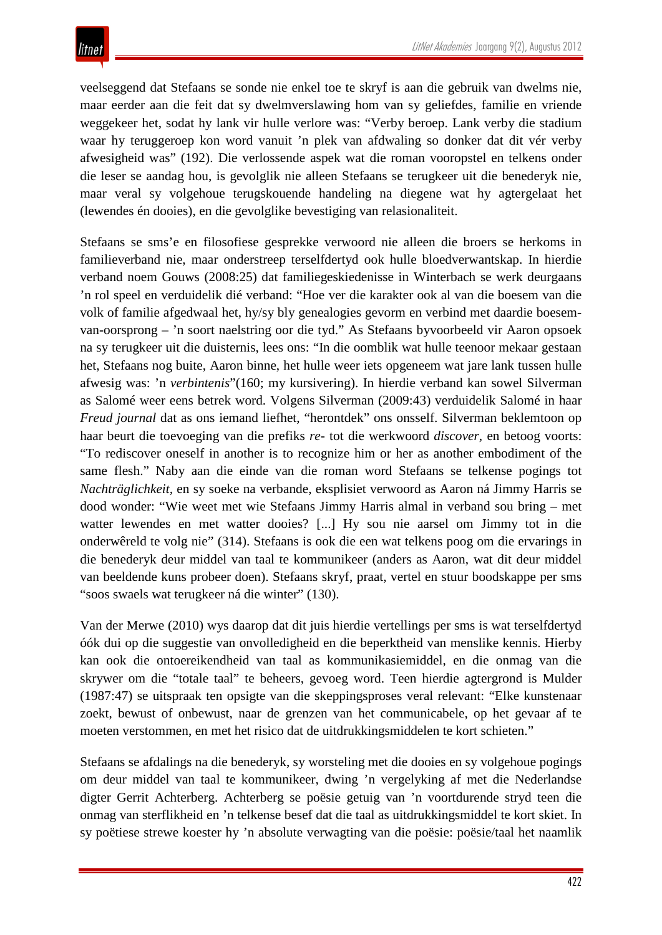veelseggend dat Stefaans se sonde nie enkel toe te skryf is aan die gebruik van dwelms nie, maar eerder aan die feit dat sy dwelmverslawing hom van sy geliefdes, familie en vriende weggekeer het, sodat hy lank vir hulle verlore was: "Verby beroep. Lank verby die stadium waar hy teruggeroep kon word vanuit 'n plek van afdwaling so donker dat dit vér verby afwesigheid was" (192). Die verlossende aspek wat die roman vooropstel en telkens onder die leser se aandag hou, is gevolglik nie alleen Stefaans se terugkeer uit die benederyk nie, maar veral sy volgehoue terugskouende handeling na diegene wat hy agtergelaat het (lewendes én dooies), en die gevolglike bevestiging van relasionaliteit.

Stefaans se sms'e en filosofiese gesprekke verwoord nie alleen die broers se herkoms in familieverband nie, maar onderstreep terselfdertyd ook hulle bloedverwantskap. In hierdie verband noem Gouws (2008:25) dat familiegeskiedenisse in Winterbach se werk deurgaans 'n rol speel en verduidelik dié verband: "Hoe ver die karakter ook al van die boesem van die volk of familie afgedwaal het, hy/sy bly genealogies gevorm en verbind met daardie boesemvan-oorsprong – 'n soort naelstring oor die tyd." As Stefaans byvoorbeeld vir Aaron opsoek na sy terugkeer uit die duisternis, lees ons: "In die oomblik wat hulle teenoor mekaar gestaan het, Stefaans nog buite, Aaron binne, het hulle weer iets opgeneem wat jare lank tussen hulle afwesig was: 'n *verbintenis*"(160; my kursivering). In hierdie verband kan sowel Silverman as Salomé weer eens betrek word. Volgens Silverman (2009:43) verduidelik Salomé in haar *Freud journal* dat as ons iemand liefhet, "herontdek" ons onsself. Silverman beklemtoon op haar beurt die toevoeging van die prefiks *re-* tot die werkwoord *discover*, en betoog voorts: "To rediscover oneself in another is to recognize him or her as another embodiment of the same flesh." Naby aan die einde van die roman word Stefaans se telkense pogings tot *Nachträglichkeit,* en sy soeke na verbande, eksplisiet verwoord as Aaron ná Jimmy Harris se dood wonder: "Wie weet met wie Stefaans Jimmy Harris almal in verband sou bring – met watter lewendes en met watter dooies? [...] Hy sou nie aarsel om Jimmy tot in die onderwêreld te volg nie" (314). Stefaans is ook die een wat telkens poog om die ervarings in die benederyk deur middel van taal te kommunikeer (anders as Aaron, wat dit deur middel van beeldende kuns probeer doen). Stefaans skryf, praat, vertel en stuur boodskappe per sms "soos swaels wat terugkeer ná die winter" (130).

Van der Merwe (2010) wys daarop dat dit juis hierdie vertellings per sms is wat terselfdertyd óók dui op die suggestie van onvolledigheid en die beperktheid van menslike kennis. Hierby kan ook die ontoereikendheid van taal as kommunikasiemiddel, en die onmag van die skrywer om die "totale taal" te beheers, gevoeg word. Teen hierdie agtergrond is Mulder (1987:47) se uitspraak ten opsigte van die skeppingsproses veral relevant: "Elke kunstenaar zoekt, bewust of onbewust, naar de grenzen van het communicabele, op het gevaar af te moeten verstommen, en met het risico dat de uitdrukkingsmiddelen te kort schieten."

Stefaans se afdalings na die benederyk, sy worsteling met die dooies en sy volgehoue pogings om deur middel van taal te kommunikeer, dwing 'n vergelyking af met die Nederlandse digter Gerrit Achterberg. Achterberg se poësie getuig van 'n voortdurende stryd teen die onmag van sterflikheid en 'n telkense besef dat die taal as uitdrukkingsmiddel te kort skiet. In sy poëtiese strewe koester hy 'n absolute verwagting van die poësie: poësie/taal het naamlik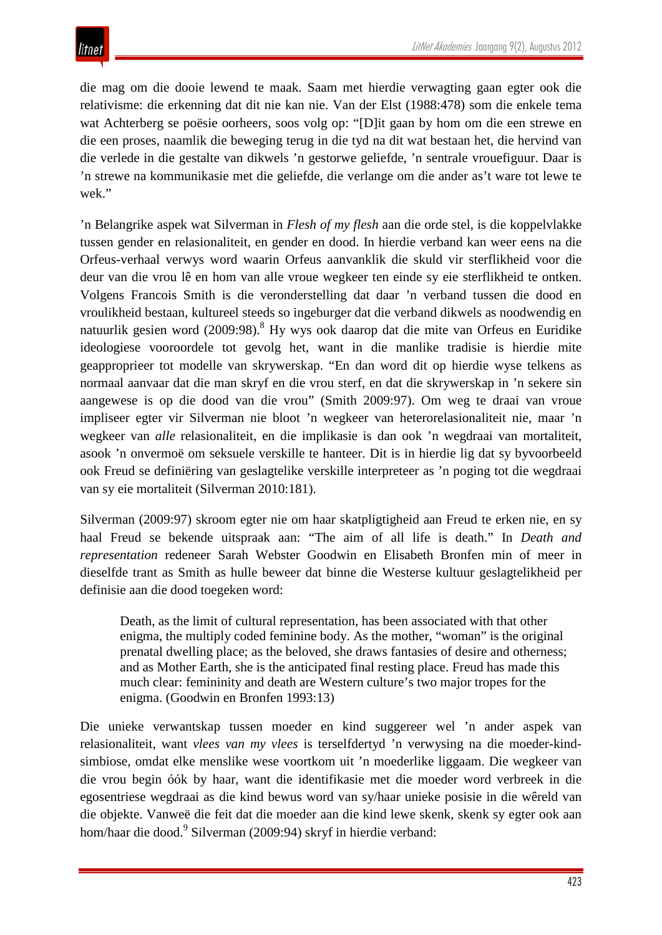die mag om die dooie lewend te maak. Saam met hierdie verwagting gaan egter ook die relativisme: die erkenning dat dit nie kan nie. Van der Elst (1988:478) som die enkele tema wat Achterberg se poësie oorheers, soos volg op: "[D]it gaan by hom om die een strewe en die een proses, naamlik die beweging terug in die tyd na dit wat bestaan het, die hervind van die verlede in die gestalte van dikwels 'n gestorwe geliefde, 'n sentrale vrouefiguur. Daar is 'n strewe na kommunikasie met die geliefde, die verlange om die ander as't ware tot lewe te wek."

'n Belangrike aspek wat Silverman in *Flesh of my flesh* aan die orde stel, is die koppelvlakke tussen gender en relasionaliteit, en gender en dood. In hierdie verband kan weer eens na die Orfeus-verhaal verwys word waarin Orfeus aanvanklik die skuld vir sterflikheid voor die deur van die vrou lê en hom van alle vroue wegkeer ten einde sy eie sterflikheid te ontken. Volgens Francois Smith is die veronderstelling dat daar 'n verband tussen die dood en vroulikheid bestaan, kultureel steeds so ingeburger dat die verband dikwels as noodwendig en natuurlik gesien word (2009:98). <sup>8</sup> Hy wys ook daarop dat die mite van Orfeus en Euridike ideologiese vooroordele tot gevolg het, want in die manlike tradisie is hierdie mite geapproprieer tot modelle van skrywerskap. "En dan word dit op hierdie wyse telkens as normaal aanvaar dat die man skryf en die vrou sterf, en dat die skrywerskap in 'n sekere sin aangewese is op die dood van die vrou" (Smith 2009:97). Om weg te draai van vroue impliseer egter vir Silverman nie bloot 'n wegkeer van heterorelasionaliteit nie, maar 'n wegkeer van *alle* relasionaliteit, en die implikasie is dan ook 'n wegdraai van mortaliteit, asook 'n onvermoë om seksuele verskille te hanteer. Dit is in hierdie lig dat sy byvoorbeeld ook Freud se definiëring van geslagtelike verskille interpreteer as 'n poging tot die wegdraai van sy eie mortaliteit (Silverman 2010:181).

Silverman (2009:97) skroom egter nie om haar skatpligtigheid aan Freud te erken nie, en sy haal Freud se bekende uitspraak aan: "The aim of all life is death." In *Death and representation* redeneer Sarah Webster Goodwin en Elisabeth Bronfen min of meer in dieselfde trant as Smith as hulle beweer dat binne die Westerse kultuur geslagtelikheid per definisie aan die dood toegeken word:

Death, as the limit of cultural representation, has been associated with that other enigma, the multiply coded feminine body. As the mother, "woman" is the original prenatal dwelling place; as the beloved, she draws fantasies of desire and otherness; and as Mother Earth, she is the anticipated final resting place. Freud has made this much clear: femininity and death are Western culture's two major tropes for the enigma. (Goodwin en Bronfen 1993:13)

Die unieke verwantskap tussen moeder en kind suggereer wel 'n ander aspek van relasionaliteit, want *vlees van my vlees* is terselfdertyd 'n verwysing na die moeder-kindsimbiose, omdat elke menslike wese voortkom uit 'n moederlike liggaam. Die wegkeer van die vrou begin óók by haar, want die identifikasie met die moeder word verbreek in die egosentriese wegdraai as die kind bewus word van sy/haar unieke posisie in die wêreld van die objekte. Vanweë die feit dat die moeder aan die kind lewe skenk, skenk sy egter ook aan hom/haar die dood.<sup>[9](http://litnet.co.za/Article/om-n-deeglike-aanmaning-van-sterflikheid-te-kry-katabasis-relasionaliteit-en-retrovisie-in#_edn9)</sup> Silverman (2009:94) skryf in hierdie verband: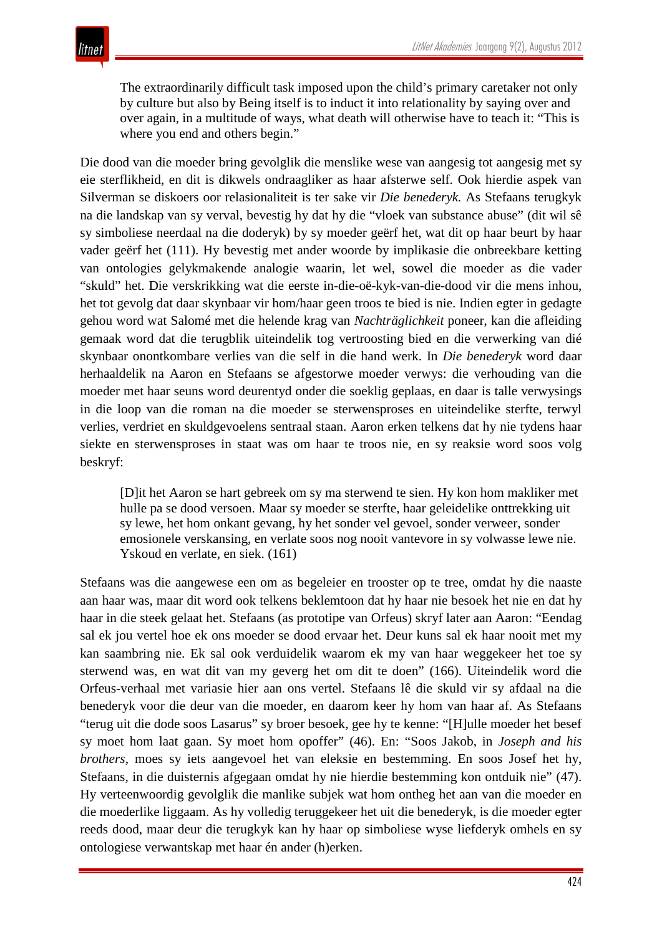The extraordinarily difficult task imposed upon the child's primary caretaker not only by culture but also by Being itself is to induct it into relationality by saying over and over again, in a multitude of ways, what death will otherwise have to teach it: "This is where you end and others begin."

Die dood van die moeder bring gevolglik die menslike wese van aangesig tot aangesig met sy eie sterflikheid, en dit is dikwels ondraagliker as haar afsterwe self. Ook hierdie aspek van Silverman se diskoers oor relasionaliteit is ter sake vir *Die benederyk.* As Stefaans terugkyk na die landskap van sy verval, bevestig hy dat hy die "vloek van substance abuse" (dit wil sê sy simboliese neerdaal na die doderyk) by sy moeder geërf het, wat dit op haar beurt by haar vader geërf het (111). Hy bevestig met ander woorde by implikasie die onbreekbare ketting van ontologies gelykmakende analogie waarin, let wel, sowel die moeder as die vader "skuld" het. Die verskrikking wat die eerste in-die-oë-kyk-van-die-dood vir die mens inhou, het tot gevolg dat daar skynbaar vir hom/haar geen troos te bied is nie. Indien egter in gedagte gehou word wat Salomé met die helende krag van *Nachträglichkeit* poneer, kan die afleiding gemaak word dat die terugblik uiteindelik tog vertroosting bied en die verwerking van dié skynbaar onontkombare verlies van die self in die hand werk. In *Die benederyk* word daar herhaaldelik na Aaron en Stefaans se afgestorwe moeder verwys: die verhouding van die moeder met haar seuns word deurentyd onder die soeklig geplaas, en daar is talle verwysings in die loop van die roman na die moeder se sterwensproses en uiteindelike sterfte, terwyl verlies, verdriet en skuldgevoelens sentraal staan. Aaron erken telkens dat hy nie tydens haar siekte en sterwensproses in staat was om haar te troos nie, en sy reaksie word soos volg beskryf:

[D]it het Aaron se hart gebreek om sy ma sterwend te sien. Hy kon hom makliker met hulle pa se dood versoen. Maar sy moeder se sterfte, haar geleidelike onttrekking uit sy lewe, het hom onkant gevang, hy het sonder vel gevoel, sonder verweer, sonder emosionele verskansing, en verlate soos nog nooit vantevore in sy volwasse lewe nie. Yskoud en verlate, en siek. (161)

Stefaans was die aangewese een om as begeleier en trooster op te tree, omdat hy die naaste aan haar was, maar dit word ook telkens beklemtoon dat hy haar nie besoek het nie en dat hy haar in die steek gelaat het. Stefaans (as prototipe van Orfeus) skryf later aan Aaron: "Eendag sal ek jou vertel hoe ek ons moeder se dood ervaar het. Deur kuns sal ek haar nooit met my kan saambring nie. Ek sal ook verduidelik waarom ek my van haar weggekeer het toe sy sterwend was, en wat dit van my geverg het om dit te doen" (166). Uiteindelik word die Orfeus-verhaal met variasie hier aan ons vertel. Stefaans lê die skuld vir sy afdaal na die benederyk voor die deur van die moeder, en daarom keer hy hom van haar af. As Stefaans "terug uit die dode soos Lasarus" sy broer besoek, gee hy te kenne: "[H]ulle moeder het besef sy moet hom laat gaan. Sy moet hom opoffer" (46). En: "Soos Jakob, in *Joseph and his brothers,* moes sy iets aangevoel het van eleksie en bestemming. En soos Josef het hy, Stefaans, in die duisternis afgegaan omdat hy nie hierdie bestemming kon ontduik nie" (47). Hy verteenwoordig gevolglik die manlike subjek wat hom ontheg het aan van die moeder en die moederlike liggaam. As hy volledig teruggekeer het uit die benederyk, is die moeder egter reeds dood, maar deur die terugkyk kan hy haar op simboliese wyse liefderyk omhels en sy ontologiese verwantskap met haar én ander (h)erken.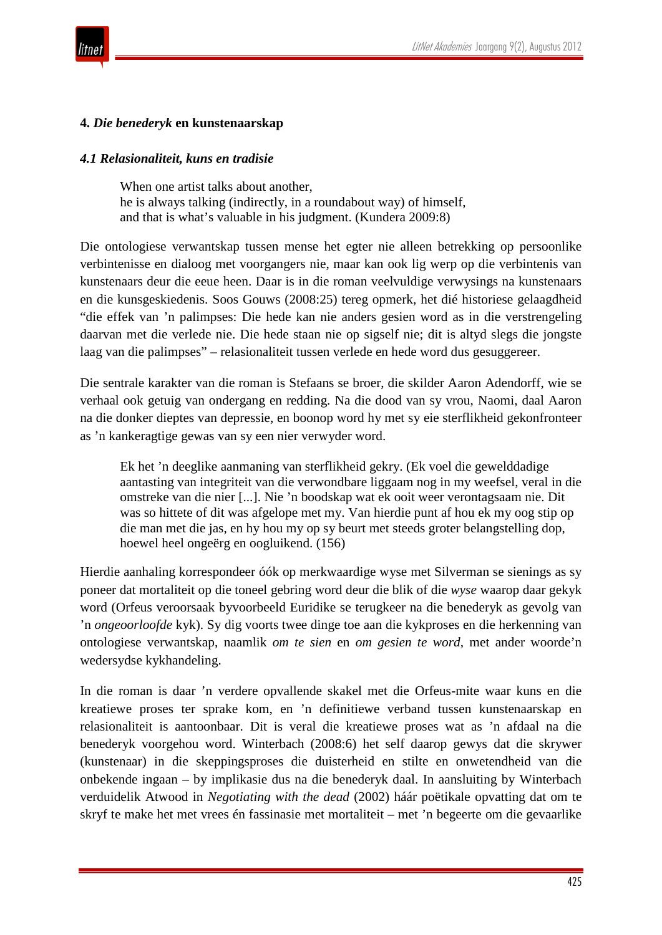



#### **4.** *Die benederyk* **en kunstenaarskap**

#### *4.1 Relasionaliteit, kuns en tradisie*

When one artist talks about another. he is always talking (indirectly, in a roundabout way) of himself, and that is what's valuable in his judgment. (Kundera 2009:8)

Die ontologiese verwantskap tussen mense het egter nie alleen betrekking op persoonlike verbintenisse en dialoog met voorgangers nie, maar kan ook lig werp op die verbintenis van kunstenaars deur die eeue heen. Daar is in die roman veelvuldige verwysings na kunstenaars en die kunsgeskiedenis. Soos Gouws (2008:25) tereg opmerk, het dié historiese gelaagdheid "die effek van 'n palimpses: Die hede kan nie anders gesien word as in die verstrengeling daarvan met die verlede nie. Die hede staan nie op sigself nie; dit is altyd slegs die jongste laag van die palimpses" – relasionaliteit tussen verlede en hede word dus gesuggereer.

Die sentrale karakter van die roman is Stefaans se broer, die skilder Aaron Adendorff, wie se verhaal ook getuig van ondergang en redding. Na die dood van sy vrou, Naomi, daal Aaron na die donker dieptes van depressie, en boonop word hy met sy eie sterflikheid gekonfronteer as 'n kankeragtige gewas van sy een nier verwyder word.

Ek het 'n deeglike aanmaning van sterflikheid gekry. (Ek voel die gewelddadige aantasting van integriteit van die verwondbare liggaam nog in my weefsel, veral in die omstreke van die nier [...]. Nie 'n boodskap wat ek ooit weer verontagsaam nie. Dit was so hittete of dit was afgelope met my. Van hierdie punt af hou ek my oog stip op die man met die jas, en hy hou my op sy beurt met steeds groter belangstelling dop, hoewel heel ongeërg en oogluikend. (156)

Hierdie aanhaling korrespondeer óók op merkwaardige wyse met Silverman se sienings as sy poneer dat mortaliteit op die toneel gebring word deur die blik of die *wyse* waarop daar gekyk word (Orfeus veroorsaak byvoorbeeld Euridike se terugkeer na die benederyk as gevolg van 'n *ongeoorloofde* kyk). Sy dig voorts twee dinge toe aan die kykproses en die herkenning van ontologiese verwantskap, naamlik *om te sien* en *om gesien te word,* met ander woorde'n wedersydse kykhandeling.

In die roman is daar 'n verdere opvallende skakel met die Orfeus-mite waar kuns en die kreatiewe proses ter sprake kom, en 'n definitiewe verband tussen kunstenaarskap en relasionaliteit is aantoonbaar. Dit is veral die kreatiewe proses wat as 'n afdaal na die benederyk voorgehou word. Winterbach (2008:6) het self daarop gewys dat die skrywer (kunstenaar) in die skeppingsproses die duisterheid en stilte en onwetendheid van die onbekende ingaan – by implikasie dus na die benederyk daal. In aansluiting by Winterbach verduidelik Atwood in *Negotiating with the dead* (2002) háár poëtikale opvatting dat om te skryf te make het met vrees én fassinasie met mortaliteit – met 'n begeerte om die gevaarlike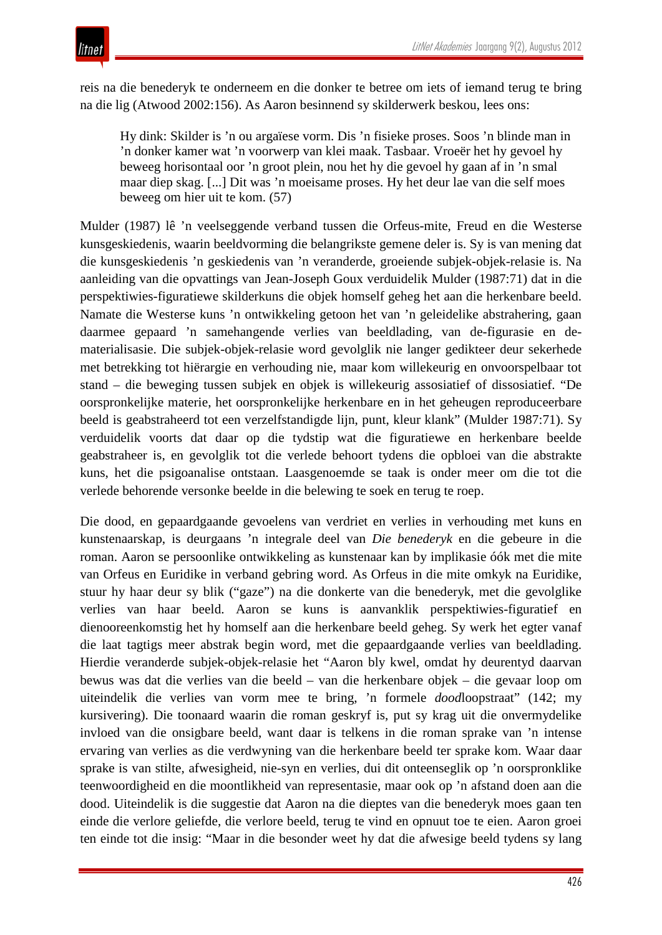reis na die benederyk te onderneem en die donker te betree om iets of iemand terug te bring na die lig (Atwood 2002:156). As Aaron besinnend sy skilderwerk beskou, lees ons:

Hy dink: Skilder is 'n ou argaïese vorm. Dis 'n fisieke proses. Soos 'n blinde man in 'n donker kamer wat 'n voorwerp van klei maak. Tasbaar. Vroeër het hy gevoel hy beweeg horisontaal oor 'n groot plein, nou het hy die gevoel hy gaan af in 'n smal maar diep skag. [...] Dit was 'n moeisame proses. Hy het deur lae van die self moes beweeg om hier uit te kom. (57)

Mulder (1987) lê 'n veelseggende verband tussen die Orfeus-mite, Freud en die Westerse kunsgeskiedenis, waarin beeldvorming die belangrikste gemene deler is. Sy is van mening dat die kunsgeskiedenis 'n geskiedenis van 'n veranderde, groeiende subjek-objek-relasie is. Na aanleiding van die opvattings van Jean-Joseph Goux verduidelik Mulder (1987:71) dat in die perspektiwies-figuratiewe skilderkuns die objek homself geheg het aan die herkenbare beeld. Namate die Westerse kuns 'n ontwikkeling getoon het van 'n geleidelike abstrahering, gaan daarmee gepaard 'n samehangende verlies van beeldlading, van de-figurasie en dematerialisasie. Die subjek-objek-relasie word gevolglik nie langer gedikteer deur sekerhede met betrekking tot hiërargie en verhouding nie, maar kom willekeurig en onvoorspelbaar tot stand – die beweging tussen subjek en objek is willekeurig assosiatief of dissosiatief. "De oorspronkelijke materie, het oorspronkelijke herkenbare en in het geheugen reproduceerbare beeld is geabstraheerd tot een verzelfstandigde lijn, punt, kleur klank" (Mulder 1987:71). Sy verduidelik voorts dat daar op die tydstip wat die figuratiewe en herkenbare beelde geabstraheer is, en gevolglik tot die verlede behoort tydens die opbloei van die abstrakte kuns, het die psigoanalise ontstaan. Laasgenoemde se taak is onder meer om die tot die verlede behorende versonke beelde in die belewing te soek en terug te roep.

Die dood, en gepaardgaande gevoelens van verdriet en verlies in verhouding met kuns en kunstenaarskap, is deurgaans 'n integrale deel van *Die benederyk* en die gebeure in die roman. Aaron se persoonlike ontwikkeling as kunstenaar kan by implikasie óók met die mite van Orfeus en Euridike in verband gebring word. As Orfeus in die mite omkyk na Euridike, stuur hy haar deur sy blik ("gaze") na die donkerte van die benederyk, met die gevolglike verlies van haar beeld. Aaron se kuns is aanvanklik perspektiwies-figuratief en dienooreenkomstig het hy homself aan die herkenbare beeld geheg. Sy werk het egter vanaf die laat tagtigs meer abstrak begin word, met die gepaardgaande verlies van beeldlading. Hierdie veranderde subjek-objek-relasie het "Aaron bly kwel, omdat hy deurentyd daarvan bewus was dat die verlies van die beeld – van die herkenbare objek – die gevaar loop om uiteindelik die verlies van vorm mee te bring, 'n formele *dood*loopstraat" (142; my kursivering). Die toonaard waarin die roman geskryf is, put sy krag uit die onvermydelike invloed van die onsigbare beeld, want daar is telkens in die roman sprake van 'n intense ervaring van verlies as die verdwyning van die herkenbare beeld ter sprake kom. Waar daar sprake is van stilte, afwesigheid, nie-syn en verlies, dui dit onteenseglik op 'n oorspronklike teenwoordigheid en die moontlikheid van representasie, maar ook op 'n afstand doen aan die dood. Uiteindelik is die suggestie dat Aaron na die dieptes van die benederyk moes gaan ten einde die verlore geliefde, die verlore beeld, terug te vind en opnuut toe te eien. Aaron groei ten einde tot die insig: "Maar in die besonder weet hy dat die afwesige beeld tydens sy lang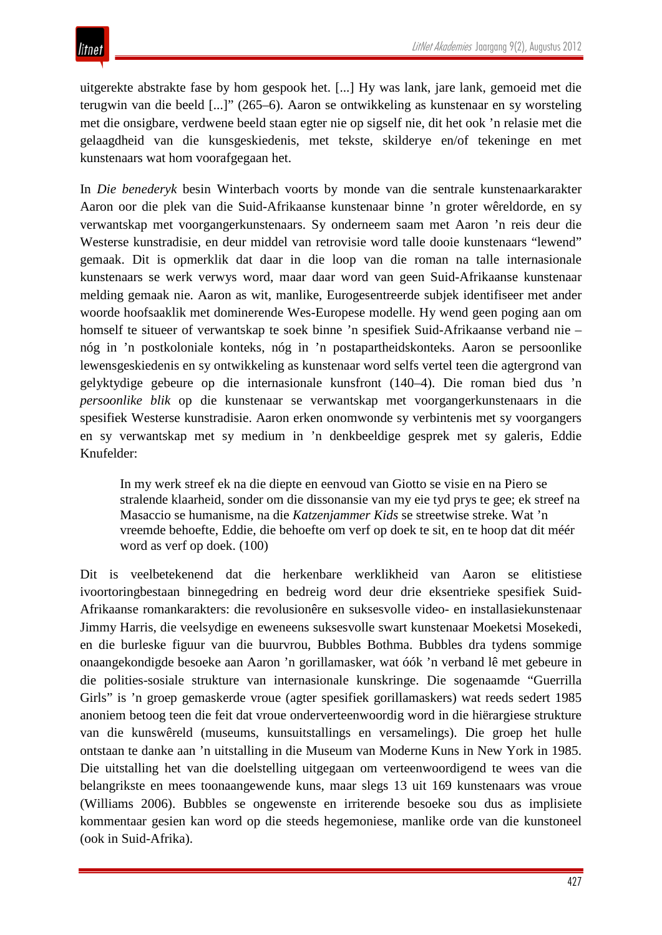uitgerekte abstrakte fase by hom gespook het. [...] Hy was lank, jare lank, gemoeid met die terugwin van die beeld [...]" (265–6). Aaron se ontwikkeling as kunstenaar en sy worsteling met die onsigbare, verdwene beeld staan egter nie op sigself nie, dit het ook 'n relasie met die gelaagdheid van die kunsgeskiedenis, met tekste, skilderye en/of tekeninge en met kunstenaars wat hom voorafgegaan het.

In *Die benederyk* besin Winterbach voorts by monde van die sentrale kunstenaarkarakter Aaron oor die plek van die Suid-Afrikaanse kunstenaar binne 'n groter wêreldorde, en sy verwantskap met voorgangerkunstenaars. Sy onderneem saam met Aaron 'n reis deur die Westerse kunstradisie, en deur middel van retrovisie word talle dooie kunstenaars "lewend" gemaak. Dit is opmerklik dat daar in die loop van die roman na talle internasionale kunstenaars se werk verwys word, maar daar word van geen Suid-Afrikaanse kunstenaar melding gemaak nie. Aaron as wit, manlike, Eurogesentreerde subjek identifiseer met ander woorde hoofsaaklik met dominerende Wes-Europese modelle. Hy wend geen poging aan om homself te situeer of verwantskap te soek binne 'n spesifiek Suid-Afrikaanse verband nie – nóg in 'n postkoloniale konteks, nóg in 'n postapartheidskonteks. Aaron se persoonlike lewensgeskiedenis en sy ontwikkeling as kunstenaar word selfs vertel teen die agtergrond van gelyktydige gebeure op die internasionale kunsfront (140–4). Die roman bied dus 'n *persoonlike blik* op die kunstenaar se verwantskap met voorgangerkunstenaars in die spesifiek Westerse kunstradisie. Aaron erken onomwonde sy verbintenis met sy voorgangers en sy verwantskap met sy medium in 'n denkbeeldige gesprek met sy galeris, Eddie Knufelder:

In my werk streef ek na die diepte en eenvoud van Giotto se visie en na Piero se stralende klaarheid, sonder om die dissonansie van my eie tyd prys te gee; ek streef na Masaccio se humanisme, na die *Katzenjammer Kids* se streetwise streke. Wat 'n vreemde behoefte, Eddie, die behoefte om verf op doek te sit, en te hoop dat dit méér word as verf op doek. (100)

Dit is veelbetekenend dat die herkenbare werklikheid van Aaron se elitistiese ivoortoringbestaan binnegedring en bedreig word deur drie eksentrieke spesifiek Suid-Afrikaanse romankarakters: die revolusionêre en suksesvolle video- en installasiekunstenaar Jimmy Harris, die veelsydige en eweneens suksesvolle swart kunstenaar Moeketsi Mosekedi, en die burleske figuur van die buurvrou, Bubbles Bothma. Bubbles dra tydens sommige onaangekondigde besoeke aan Aaron 'n gorillamasker, wat óók 'n verband lê met gebeure in die polities-sosiale strukture van internasionale kunskringe. Die sogenaamde "Guerrilla Girls" is 'n groep gemaskerde vroue (agter spesifiek gorillamaskers) wat reeds sedert 1985 anoniem betoog teen die feit dat vroue onderverteenwoordig word in die hiërargiese strukture van die kunswêreld (museums, kunsuitstallings en versamelings). Die groep het hulle ontstaan te danke aan 'n uitstalling in die Museum van Moderne Kuns in New York in 1985. Die uitstalling het van die doelstelling uitgegaan om verteenwoordigend te wees van die belangrikste en mees toonaangewende kuns, maar slegs 13 uit 169 kunstenaars was vroue (Williams 2006). Bubbles se ongewenste en irriterende besoeke sou dus as implisiete kommentaar gesien kan word op die steeds hegemoniese, manlike orde van die kunstoneel (ook in Suid-Afrika).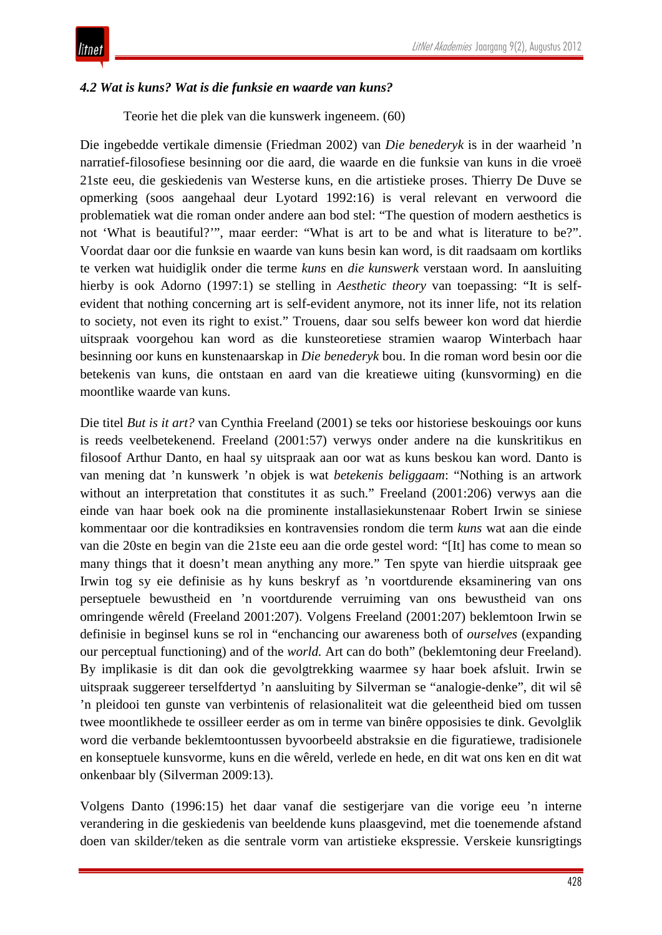### *4.2 Wat is kuns? Wat is die funksie en waarde van kuns?*

Teorie het die plek van die kunswerk ingeneem. (60)

Die ingebedde vertikale dimensie (Friedman 2002) van *Die benederyk* is in der waarheid 'n narratief-filosofiese besinning oor die aard, die waarde en die funksie van kuns in die vroeë 21ste eeu, die geskiedenis van Westerse kuns, en die artistieke proses. Thierry De Duve se opmerking (soos aangehaal deur Lyotard 1992:16) is veral relevant en verwoord die problematiek wat die roman onder andere aan bod stel: "The question of modern aesthetics is not 'What is beautiful?'", maar eerder: "What is art to be and what is literature to be?". Voordat daar oor die funksie en waarde van kuns besin kan word, is dit raadsaam om kortliks te verken wat huidiglik onder die terme *kuns* en *die kunswerk* verstaan word. In aansluiting hierby is ook Adorno (1997:1) se stelling in *Aesthetic theory* van toepassing: "It is selfevident that nothing concerning art is self-evident anymore, not its inner life, not its relation to society, not even its right to exist." Trouens, daar sou selfs beweer kon word dat hierdie uitspraak voorgehou kan word as die kunsteoretiese stramien waarop Winterbach haar besinning oor kuns en kunstenaarskap in *Die benederyk* bou. In die roman word besin oor die betekenis van kuns, die ontstaan en aard van die kreatiewe uiting (kunsvorming) en die moontlike waarde van kuns.

Die titel *But is it art?* van Cynthia Freeland (2001) se teks oor historiese beskouings oor kuns is reeds veelbetekenend. Freeland (2001:57) verwys onder andere na die kunskritikus en filosoof Arthur Danto, en haal sy uitspraak aan oor wat as kuns beskou kan word. Danto is van mening dat 'n kunswerk 'n objek is wat *betekenis beliggaam*: "Nothing is an artwork without an interpretation that constitutes it as such." Freeland (2001:206) verwys aan die einde van haar boek ook na die prominente installasiekunstenaar Robert Irwin se siniese kommentaar oor die kontradiksies en kontravensies rondom die term *kuns* wat aan die einde van die 20ste en begin van die 21ste eeu aan die orde gestel word: "[It] has come to mean so many things that it doesn't mean anything any more." Ten spyte van hierdie uitspraak gee Irwin tog sy eie definisie as hy kuns beskryf as 'n voortdurende eksaminering van ons perseptuele bewustheid en 'n voortdurende verruiming van ons bewustheid van ons omringende wêreld (Freeland 2001:207). Volgens Freeland (2001:207) beklemtoon Irwin se definisie in beginsel kuns se rol in "enchancing our awareness both of *ourselves* (expanding our perceptual functioning) and of the *world.* Art can do both" (beklemtoning deur Freeland). By implikasie is dit dan ook die gevolgtrekking waarmee sy haar boek afsluit. Irwin se uitspraak suggereer terselfdertyd 'n aansluiting by Silverman se "analogie-denke", dit wil sê 'n pleidooi ten gunste van verbintenis of relasionaliteit wat die geleentheid bied om tussen twee moontlikhede te ossilleer eerder as om in terme van binêre opposisies te dink. Gevolglik word die verbande beklemtoontussen byvoorbeeld abstraksie en die figuratiewe, tradisionele en konseptuele kunsvorme, kuns en die wêreld, verlede en hede, en dit wat ons ken en dit wat onkenbaar bly (Silverman 2009:13).

Volgens Danto (1996:15) het daar vanaf die sestigerjare van die vorige eeu 'n interne verandering in die geskiedenis van beeldende kuns plaasgevind, met die toenemende afstand doen van skilder/teken as die sentrale vorm van artistieke ekspressie. Verskeie kunsrigtings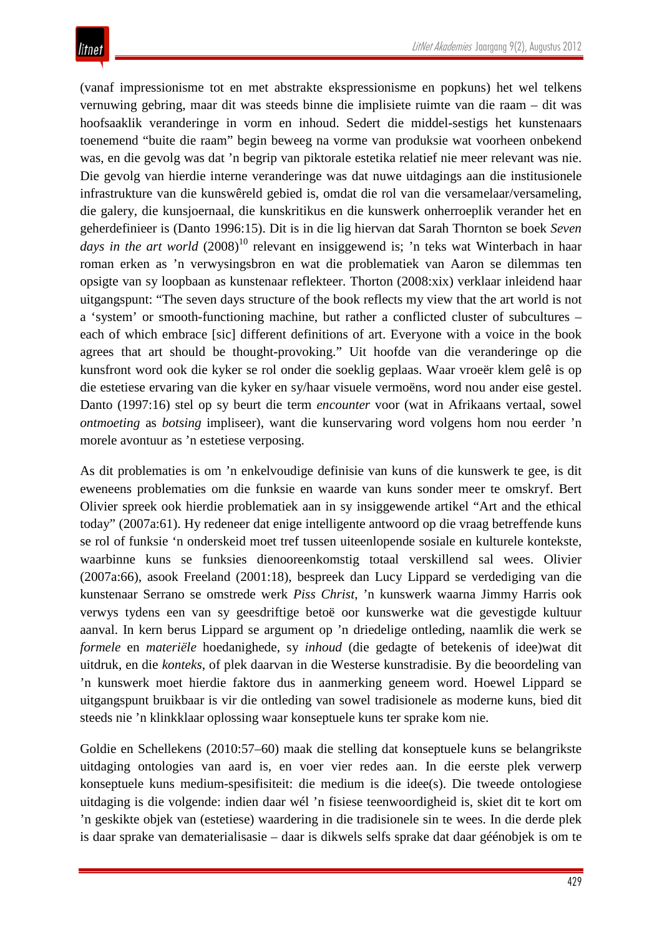(vanaf impressionisme tot en met abstrakte ekspressionisme en popkuns) het wel telkens vernuwing gebring, maar dit was steeds binne die implisiete ruimte van die raam – dit was hoofsaaklik veranderinge in vorm en inhoud. Sedert die middel-sestigs het kunstenaars toenemend "buite die raam" begin beweeg na vorme van produksie wat voorheen onbekend was, en die gevolg was dat 'n begrip van piktorale estetika relatief nie meer relevant was nie. Die gevolg van hierdie interne veranderinge was dat nuwe uitdagings aan die institusionele infrastrukture van die kunswêreld gebied is, omdat die rol van die versamelaar/versameling, die galery, die kunsjoernaal, die kunskritikus en die kunswerk onherroeplik verander het en geherdefinieer is (Danto 1996:15). Dit is in die lig hiervan dat Sarah Thornton se boek *Seven*  days in the art world  $(2008)^{10}$  relevant en insiggewend is; 'n teks wat Winterbach in haar roman erken as 'n verwysingsbron en wat die problematiek van Aaron se dilemmas ten opsigte van sy loopbaan as kunstenaar reflekteer. Thorton (2008:xix) verklaar inleidend haar uitgangspunt: "The seven days structure of the book reflects my view that the art world is not a 'system' or smooth-functioning machine, but rather a conflicted cluster of subcultures – each of which embrace [sic] different definitions of art. Everyone with a voice in the book agrees that art should be thought-provoking." Uit hoofde van die veranderinge op die kunsfront word ook die kyker se rol onder die soeklig geplaas. Waar vroeër klem gelê is op die estetiese ervaring van die kyker en sy/haar visuele vermoëns, word nou ander eise gestel. Danto (1997:16) stel op sy beurt die term *encounter* voor (wat in Afrikaans vertaal, sowel *ontmoeting* as *botsing* impliseer), want die kunservaring word volgens hom nou eerder 'n morele avontuur as 'n estetiese verposing.

As dit problematies is om 'n enkelvoudige definisie van kuns of die kunswerk te gee, is dit eweneens problematies om die funksie en waarde van kuns sonder meer te omskryf. Bert Olivier spreek ook hierdie problematiek aan in sy insiggewende artikel "Art and the ethical today" (2007a:61). Hy redeneer dat enige intelligente antwoord op die vraag betreffende kuns se rol of funksie 'n onderskeid moet tref tussen uiteenlopende sosiale en kulturele kontekste, waarbinne kuns se funksies dienooreenkomstig totaal verskillend sal wees. Olivier (2007a:66), asook Freeland (2001:18), bespreek dan Lucy Lippard se verdediging van die kunstenaar Serrano se omstrede werk *Piss Christ*, 'n kunswerk waarna Jimmy Harris ook verwys tydens een van sy geesdriftige betoë oor kunswerke wat die gevestigde kultuur aanval. In kern berus Lippard se argument op 'n driedelige ontleding, naamlik die werk se *formele* en *materiële* hoedanighede, sy *inhoud* (die gedagte of betekenis of idee)wat dit uitdruk, en die *konteks*, of plek daarvan in die Westerse kunstradisie. By die beoordeling van 'n kunswerk moet hierdie faktore dus in aanmerking geneem word. Hoewel Lippard se uitgangspunt bruikbaar is vir die ontleding van sowel tradisionele as moderne kuns, bied dit steeds nie 'n klinkklaar oplossing waar konseptuele kuns ter sprake kom nie.

Goldie en Schellekens (2010:57–60) maak die stelling dat konseptuele kuns se belangrikste uitdaging ontologies van aard is, en voer vier redes aan. In die eerste plek verwerp konseptuele kuns medium-spesifisiteit: die medium is die idee(s). Die tweede ontologiese uitdaging is die volgende: indien daar wél 'n fisiese teenwoordigheid is, skiet dit te kort om 'n geskikte objek van (estetiese) waardering in die tradisionele sin te wees. In die derde plek is daar sprake van dematerialisasie – daar is dikwels selfs sprake dat daar géénobjek is om te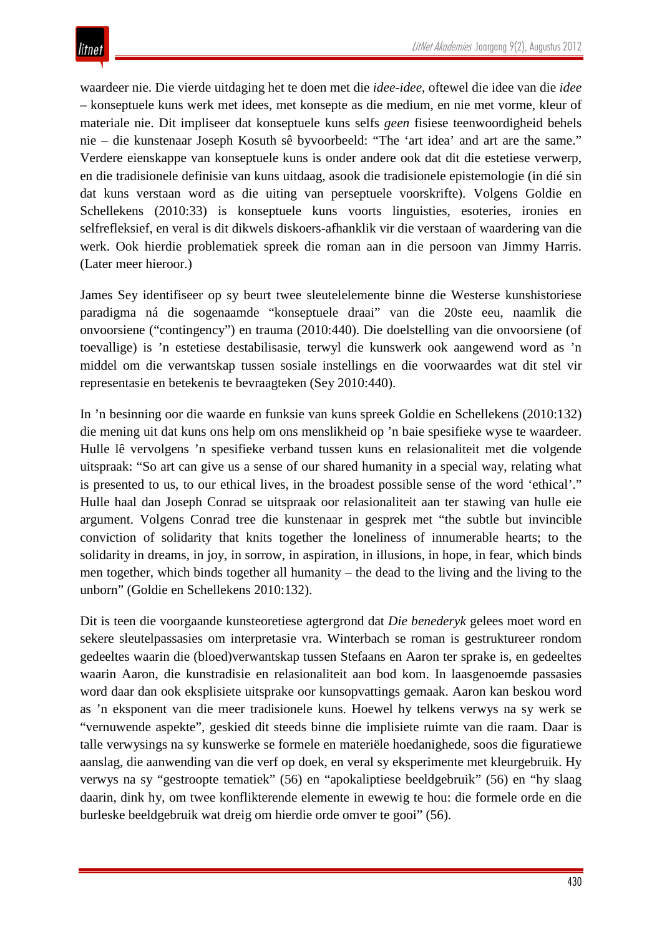waardeer nie. Die vierde uitdaging het te doen met die *idee-idee*, oftewel die idee van die *idee*  – konseptuele kuns werk met idees, met konsepte as die medium, en nie met vorme, kleur of materiale nie. Dit impliseer dat konseptuele kuns selfs *geen* fisiese teenwoordigheid behels nie – die kunstenaar Joseph Kosuth sê byvoorbeeld: "The 'art idea' and art are the same." Verdere eienskappe van konseptuele kuns is onder andere ook dat dit die estetiese verwerp, en die tradisionele definisie van kuns uitdaag, asook die tradisionele epistemologie (in dié sin dat kuns verstaan word as die uiting van perseptuele voorskrifte). Volgens Goldie en Schellekens (2010:33) is konseptuele kuns voorts linguisties, esoteries, ironies en selfrefleksief, en veral is dit dikwels diskoers-afhanklik vir die verstaan of waardering van die werk. Ook hierdie problematiek spreek die roman aan in die persoon van Jimmy Harris. (Later meer hieroor.)

James Sey identifiseer op sy beurt twee sleutelelemente binne die Westerse kunshistoriese paradigma ná die sogenaamde "konseptuele draai" van die 20ste eeu, naamlik die onvoorsiene ("contingency") en trauma (2010:440). Die doelstelling van die onvoorsiene (of toevallige) is 'n estetiese destabilisasie, terwyl die kunswerk ook aangewend word as 'n middel om die verwantskap tussen sosiale instellings en die voorwaardes wat dit stel vir representasie en betekenis te bevraagteken (Sey 2010:440).

In 'n besinning oor die waarde en funksie van kuns spreek Goldie en Schellekens (2010:132) die mening uit dat kuns ons help om ons menslikheid op 'n baie spesifieke wyse te waardeer. Hulle lê vervolgens 'n spesifieke verband tussen kuns en relasionaliteit met die volgende uitspraak: "So art can give us a sense of our shared humanity in a special way, relating what is presented to us, to our ethical lives, in the broadest possible sense of the word 'ethical'." Hulle haal dan Joseph Conrad se uitspraak oor relasionaliteit aan ter stawing van hulle eie argument. Volgens Conrad tree die kunstenaar in gesprek met "the subtle but invincible conviction of solidarity that knits together the loneliness of innumerable hearts; to the solidarity in dreams, in joy, in sorrow, in aspiration, in illusions, in hope, in fear, which binds men together, which binds together all humanity – the dead to the living and the living to the unborn" (Goldie en Schellekens 2010:132).

Dit is teen die voorgaande kunsteoretiese agtergrond dat *Die benederyk* gelees moet word en sekere sleutelpassasies om interpretasie vra. Winterbach se roman is gestruktureer rondom gedeeltes waarin die (bloed)verwantskap tussen Stefaans en Aaron ter sprake is, en gedeeltes waarin Aaron, die kunstradisie en relasionaliteit aan bod kom. In laasgenoemde passasies word daar dan ook eksplisiete uitsprake oor kunsopvattings gemaak. Aaron kan beskou word as 'n eksponent van die meer tradisionele kuns. Hoewel hy telkens verwys na sy werk se "vernuwende aspekte", geskied dit steeds binne die implisiete ruimte van die raam. Daar is talle verwysings na sy kunswerke se formele en materiële hoedanighede, soos die figuratiewe aanslag, die aanwending van die verf op doek, en veral sy eksperimente met kleurgebruik. Hy verwys na sy "gestroopte tematiek" (56) en "apokaliptiese beeldgebruik" (56) en "hy slaag daarin, dink hy, om twee konflikterende elemente in ewewig te hou: die formele orde en die burleske beeldgebruik wat dreig om hierdie orde omver te gooi" (56).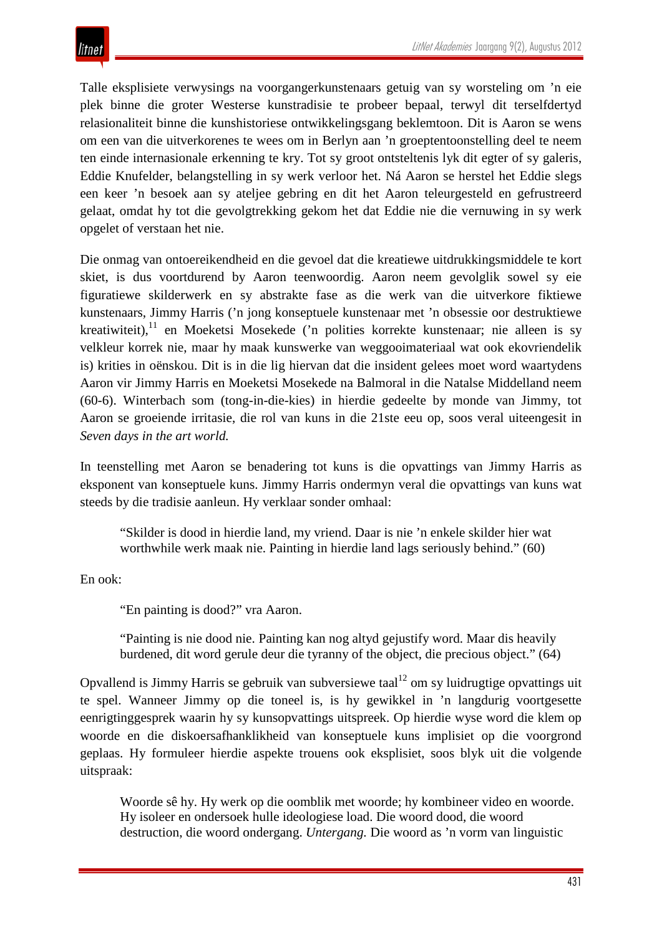Talle eksplisiete verwysings na voorgangerkunstenaars getuig van sy worsteling om 'n eie plek binne die groter Westerse kunstradisie te probeer bepaal, terwyl dit terselfdertyd relasionaliteit binne die kunshistoriese ontwikkelingsgang beklemtoon. Dit is Aaron se wens om een van die uitverkorenes te wees om in Berlyn aan 'n groeptentoonstelling deel te neem ten einde internasionale erkenning te kry. Tot sy groot ontsteltenis lyk dit egter of sy galeris, Eddie Knufelder, belangstelling in sy werk verloor het. Ná Aaron se herstel het Eddie slegs een keer 'n besoek aan sy ateljee gebring en dit het Aaron teleurgesteld en gefrustreerd gelaat, omdat hy tot die gevolgtrekking gekom het dat Eddie nie die vernuwing in sy werk opgelet of verstaan het nie.

Die onmag van ontoereikendheid en die gevoel dat die kreatiewe uitdrukkingsmiddele te kort skiet, is dus voortdurend by Aaron teenwoordig. Aaron neem gevolglik sowel sy eie figuratiewe skilderwerk en sy abstrakte fase as die werk van die uitverkore fiktiewe kunstenaars, Jimmy Harris ('n jong konseptuele kunstenaar met 'n obsessie oor destruktiewe kreatiwiteit), $11$  en Moeketsi Mosekede ('n polities korrekte kunstenaar; nie alleen is sy velkleur korrek nie, maar hy maak kunswerke van weggooimateriaal wat ook ekovriendelik is) krities in oënskou. Dit is in die lig hiervan dat die insident gelees moet word waartydens Aaron vir Jimmy Harris en Moeketsi Mosekede na Balmoral in die Natalse Middelland neem (60-6). Winterbach som (tong-in-die-kies) in hierdie gedeelte by monde van Jimmy, tot Aaron se groeiende irritasie, die rol van kuns in die 21ste eeu op, soos veral uiteengesit in *Seven days in the art world.* 

In teenstelling met Aaron se benadering tot kuns is die opvattings van Jimmy Harris as eksponent van konseptuele kuns. Jimmy Harris ondermyn veral die opvattings van kuns wat steeds by die tradisie aanleun. Hy verklaar sonder omhaal:

"Skilder is dood in hierdie land, my vriend. Daar is nie 'n enkele skilder hier wat worthwhile werk maak nie. Painting in hierdie land lags seriously behind." (60)

En ook:

"En painting is dood?" vra Aaron.

"Painting is nie dood nie. Painting kan nog altyd gejustify word. Maar dis heavily burdened, dit word gerule deur die tyranny of the object, die precious object." (64)

Opvallend is Jimmy Harris se gebruik van subversiewe taal<sup>12</sup> om sy luidrugtige opvattings uit te spel. Wanneer Jimmy op die toneel is, is hy gewikkel in 'n langdurig voortgesette eenrigtinggesprek waarin hy sy kunsopvattings uitspreek. Op hierdie wyse word die klem op woorde en die diskoersafhanklikheid van konseptuele kuns implisiet op die voorgrond geplaas. Hy formuleer hierdie aspekte trouens ook eksplisiet, soos blyk uit die volgende uitspraak:

Woorde sê hy. Hy werk op die oomblik met woorde; hy kombineer video en woorde. Hy isoleer en ondersoek hulle ideologiese load. Die woord dood, die woord destruction, die woord ondergang. *Untergang.* Die woord as 'n vorm van linguistic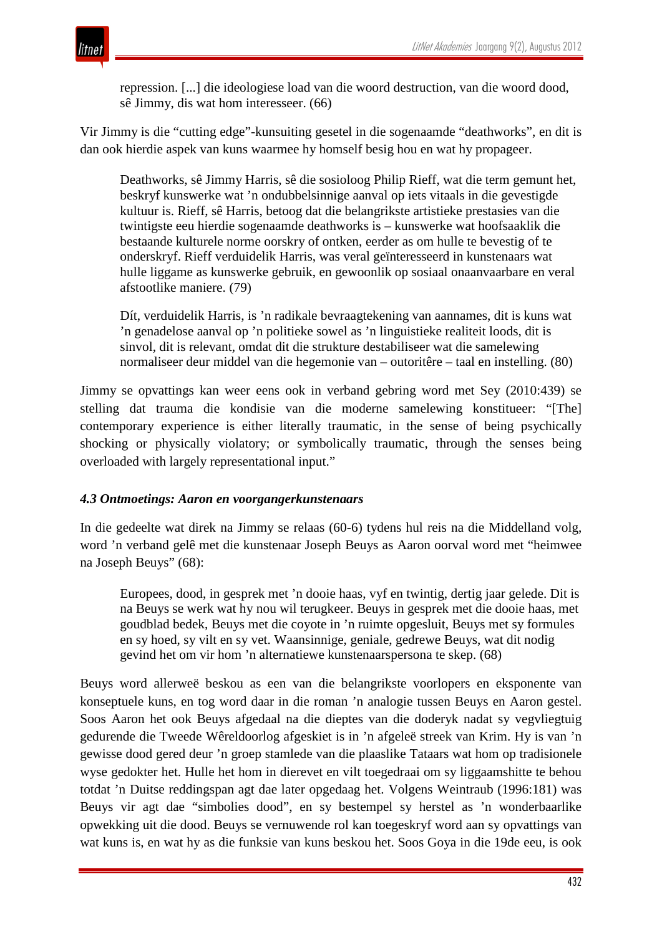repression. [...] die ideologiese load van die woord destruction, van die woord dood, sê Jimmy, dis wat hom interesseer. (66)

Vir Jimmy is die "cutting edge"-kunsuiting gesetel in die sogenaamde "deathworks", en dit is dan ook hierdie aspek van kuns waarmee hy homself besig hou en wat hy propageer.

Deathworks, sê Jimmy Harris, sê die sosioloog Philip Rieff, wat die term gemunt het, beskryf kunswerke wat 'n ondubbelsinnige aanval op iets vitaals in die gevestigde kultuur is. Rieff, sê Harris, betoog dat die belangrikste artistieke prestasies van die twintigste eeu hierdie sogenaamde deathworks is – kunswerke wat hoofsaaklik die bestaande kulturele norme oorskry of ontken, eerder as om hulle te bevestig of te onderskryf. Rieff verduidelik Harris, was veral geïnteresseerd in kunstenaars wat hulle liggame as kunswerke gebruik, en gewoonlik op sosiaal onaanvaarbare en veral afstootlike maniere. (79)

Dít, verduidelik Harris, is 'n radikale bevraagtekening van aannames, dit is kuns wat 'n genadelose aanval op 'n politieke sowel as 'n linguistieke realiteit loods, dit is sinvol, dit is relevant, omdat dit die strukture destabiliseer wat die samelewing normaliseer deur middel van die hegemonie van – outoritêre – taal en instelling. (80)

Jimmy se opvattings kan weer eens ook in verband gebring word met Sey (2010:439) se stelling dat trauma die kondisie van die moderne samelewing konstitueer: "[The] contemporary experience is either literally traumatic, in the sense of being psychically shocking or physically violatory; or symbolically traumatic, through the senses being overloaded with largely representational input."

### *4.3 Ontmoetings: Aaron en voorgangerkunstenaars*

In die gedeelte wat direk na Jimmy se relaas (60-6) tydens hul reis na die Middelland volg, word 'n verband gelê met die kunstenaar Joseph Beuys as Aaron oorval word met "heimwee na Joseph Beuys" (68):

Europees, dood, in gesprek met 'n dooie haas, vyf en twintig, dertig jaar gelede. Dit is na Beuys se werk wat hy nou wil terugkeer. Beuys in gesprek met die dooie haas, met goudblad bedek, Beuys met die coyote in 'n ruimte opgesluit, Beuys met sy formules en sy hoed, sy vilt en sy vet. Waansinnige, geniale, gedrewe Beuys, wat dit nodig gevind het om vir hom 'n alternatiewe kunstenaarspersona te skep. (68)

Beuys word allerweë beskou as een van die belangrikste voorlopers en eksponente van konseptuele kuns, en tog word daar in die roman 'n analogie tussen Beuys en Aaron gestel. Soos Aaron het ook Beuys afgedaal na die dieptes van die doderyk nadat sy vegvliegtuig gedurende die Tweede Wêreldoorlog afgeskiet is in 'n afgeleë streek van Krim. Hy is van 'n gewisse dood gered deur 'n groep stamlede van die plaaslike Tataars wat hom op tradisionele wyse gedokter het. Hulle het hom in dierevet en vilt toegedraai om sy liggaamshitte te behou totdat 'n Duitse reddingspan agt dae later opgedaag het. Volgens Weintraub (1996:181) was Beuys vir agt dae "simbolies dood", en sy bestempel sy herstel as 'n wonderbaarlike opwekking uit die dood. Beuys se vernuwende rol kan toegeskryf word aan sy opvattings van wat kuns is, en wat hy as die funksie van kuns beskou het. Soos Goya in die 19de eeu, is ook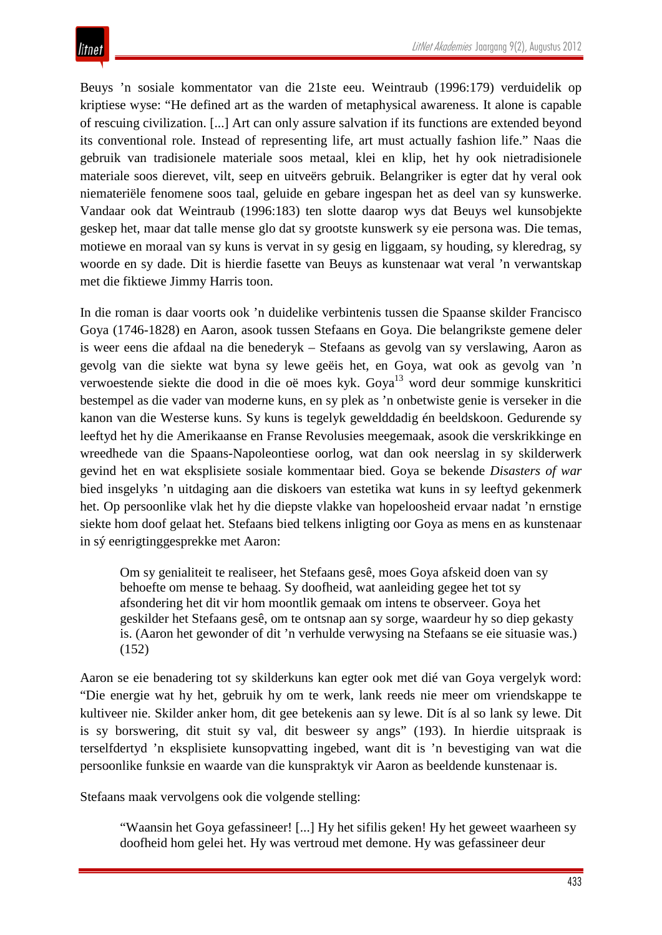Beuys 'n sosiale kommentator van die 21ste eeu. Weintraub (1996:179) verduidelik op kriptiese wyse: "He defined art as the warden of metaphysical awareness. It alone is capable of rescuing civilization. [...] Art can only assure salvation if its functions are extended beyond its conventional role. Instead of representing life, art must actually fashion life." Naas die gebruik van tradisionele materiale soos metaal, klei en klip, het hy ook nietradisionele materiale soos dierevet, vilt, seep en uitveërs gebruik. Belangriker is egter dat hy veral ook niemateriële fenomene soos taal, geluide en gebare ingespan het as deel van sy kunswerke. Vandaar ook dat Weintraub (1996:183) ten slotte daarop wys dat Beuys wel kunsobjekte geskep het, maar dat talle mense glo dat sy grootste kunswerk sy eie persona was. Die temas, motiewe en moraal van sy kuns is vervat in sy gesig en liggaam, sy houding, sy kleredrag, sy woorde en sy dade. Dit is hierdie fasette van Beuys as kunstenaar wat veral 'n verwantskap met die fiktiewe Jimmy Harris toon.

In die roman is daar voorts ook 'n duidelike verbintenis tussen die Spaanse skilder Francisco Goya (1746-1828) en Aaron, asook tussen Stefaans en Goya. Die belangrikste gemene deler is weer eens die afdaal na die benederyk – Stefaans as gevolg van sy verslawing, Aaron as gevolg van die siekte wat byna sy lewe geëis het, en Goya, wat ook as gevolg van 'n verwoestende siekte die dood in die oë moes kyk. Goya<sup>13</sup> word deur sommige kunskritici bestempel as die vader van moderne kuns, en sy plek as 'n onbetwiste genie is verseker in die kanon van die Westerse kuns. Sy kuns is tegelyk gewelddadig én beeldskoon. Gedurende sy leeftyd het hy die Amerikaanse en Franse Revolusies meegemaak, asook die verskrikkinge en wreedhede van die Spaans-Napoleontiese oorlog, wat dan ook neerslag in sy skilderwerk gevind het en wat eksplisiete sosiale kommentaar bied. Goya se bekende *Disasters of war* bied insgelyks 'n uitdaging aan die diskoers van estetika wat kuns in sy leeftyd gekenmerk het. Op persoonlike vlak het hy die diepste vlakke van hopeloosheid ervaar nadat 'n ernstige siekte hom doof gelaat het. Stefaans bied telkens inligting oor Goya as mens en as kunstenaar in sý eenrigtinggesprekke met Aaron:

Om sy genialiteit te realiseer, het Stefaans gesê, moes Goya afskeid doen van sy behoefte om mense te behaag. Sy doofheid, wat aanleiding gegee het tot sy afsondering het dit vir hom moontlik gemaak om intens te observeer. Goya het geskilder het Stefaans gesê, om te ontsnap aan sy sorge, waardeur hy so diep gekasty is. (Aaron het gewonder of dit 'n verhulde verwysing na Stefaans se eie situasie was.) (152)

Aaron se eie benadering tot sy skilderkuns kan egter ook met dié van Goya vergelyk word: "Die energie wat hy het, gebruik hy om te werk, lank reeds nie meer om vriendskappe te kultiveer nie. Skilder anker hom, dit gee betekenis aan sy lewe. Dit ís al so lank sy lewe. Dit is sy borswering, dit stuit sy val, dit besweer sy angs" (193). In hierdie uitspraak is terselfdertyd 'n eksplisiete kunsopvatting ingebed, want dit is 'n bevestiging van wat die persoonlike funksie en waarde van die kunspraktyk vir Aaron as beeldende kunstenaar is.

Stefaans maak vervolgens ook die volgende stelling:

"Waansin het Goya gefassineer! [...] Hy het sifilis geken! Hy het geweet waarheen sy doofheid hom gelei het. Hy was vertroud met demone. Hy was gefassineer deur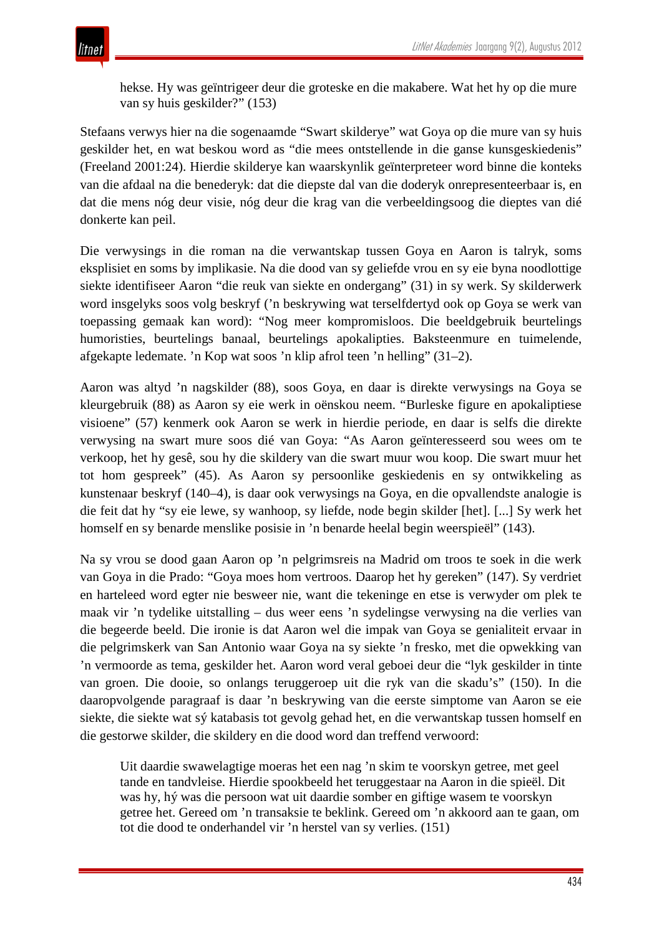hekse. Hy was geïntrigeer deur die groteske en die makabere. Wat het hy op die mure van sy huis geskilder?" (153)

Stefaans verwys hier na die sogenaamde "Swart skilderye" wat Goya op die mure van sy huis geskilder het, en wat beskou word as "die mees ontstellende in die ganse kunsgeskiedenis" (Freeland 2001:24). Hierdie skilderye kan waarskynlik geïnterpreteer word binne die konteks van die afdaal na die benederyk: dat die diepste dal van die doderyk onrepresenteerbaar is, en dat die mens nóg deur visie, nóg deur die krag van die verbeeldingsoog die dieptes van dié donkerte kan peil.

Die verwysings in die roman na die verwantskap tussen Goya en Aaron is talryk, soms eksplisiet en soms by implikasie. Na die dood van sy geliefde vrou en sy eie byna noodlottige siekte identifiseer Aaron "die reuk van siekte en ondergang" (31) in sy werk. Sy skilderwerk word insgelyks soos volg beskryf ('n beskrywing wat terselfdertyd ook op Goya se werk van toepassing gemaak kan word): "Nog meer kompromisloos. Die beeldgebruik beurtelings humoristies, beurtelings banaal, beurtelings apokalipties. Baksteenmure en tuimelende, afgekapte ledemate. 'n Kop wat soos 'n klip afrol teen 'n helling" (31–2).

Aaron was altyd 'n nagskilder (88), soos Goya, en daar is direkte verwysings na Goya se kleurgebruik (88) as Aaron sy eie werk in oënskou neem. "Burleske figure en apokaliptiese visioene" (57) kenmerk ook Aaron se werk in hierdie periode, en daar is selfs die direkte verwysing na swart mure soos dié van Goya: "As Aaron geïnteresseerd sou wees om te verkoop, het hy gesê, sou hy die skildery van die swart muur wou koop. Die swart muur het tot hom gespreek" (45). As Aaron sy persoonlike geskiedenis en sy ontwikkeling as kunstenaar beskryf (140–4), is daar ook verwysings na Goya, en die opvallendste analogie is die feit dat hy "sy eie lewe, sy wanhoop, sy liefde, node begin skilder [het]. [...] Sy werk het homself en sy benarde menslike posisie in 'n benarde heelal begin weerspieël" (143).

Na sy vrou se dood gaan Aaron op 'n pelgrimsreis na Madrid om troos te soek in die werk van Goya in die Prado: "Goya moes hom vertroos. Daarop het hy gereken" (147). Sy verdriet en harteleed word egter nie besweer nie, want die tekeninge en etse is verwyder om plek te maak vir 'n tydelike uitstalling – dus weer eens 'n sydelingse verwysing na die verlies van die begeerde beeld. Die ironie is dat Aaron wel die impak van Goya se genialiteit ervaar in die pelgrimskerk van San Antonio waar Goya na sy siekte 'n fresko, met die opwekking van 'n vermoorde as tema, geskilder het. Aaron word veral geboei deur die "lyk geskilder in tinte van groen. Die dooie, so onlangs teruggeroep uit die ryk van die skadu's" (150). In die daaropvolgende paragraaf is daar 'n beskrywing van die eerste simptome van Aaron se eie siekte, die siekte wat sý katabasis tot gevolg gehad het, en die verwantskap tussen homself en die gestorwe skilder, die skildery en die dood word dan treffend verwoord:

Uit daardie swawelagtige moeras het een nag 'n skim te voorskyn getree, met geel tande en tandvleise. Hierdie spookbeeld het teruggestaar na Aaron in die spieël. Dit was hy, hý was die persoon wat uit daardie somber en giftige wasem te voorskyn getree het. Gereed om 'n transaksie te beklink. Gereed om 'n akkoord aan te gaan, om tot die dood te onderhandel vir 'n herstel van sy verlies. (151)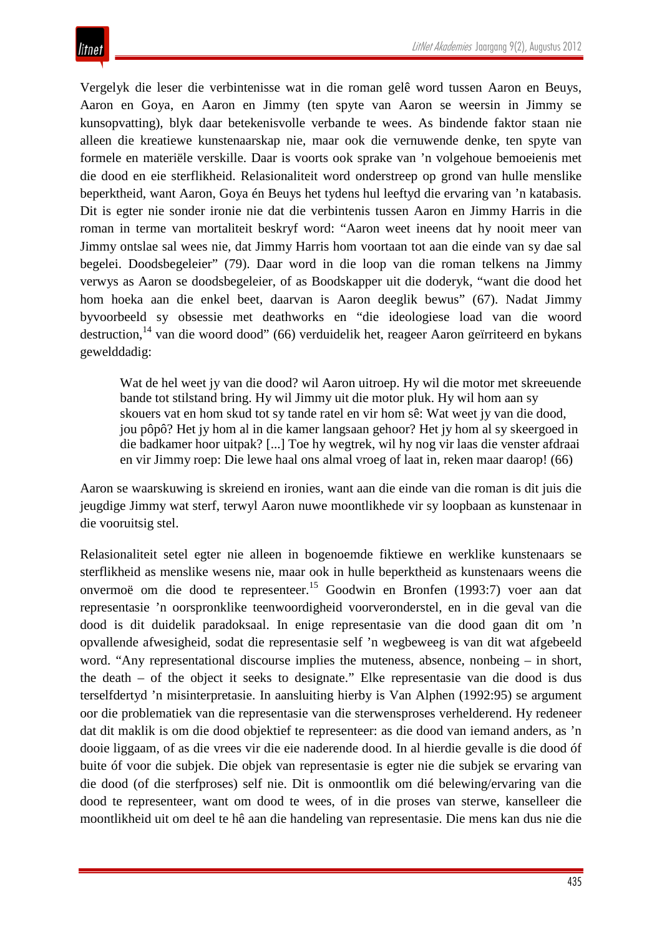Vergelyk die leser die verbintenisse wat in die roman gelê word tussen Aaron en Beuys, Aaron en Goya, en Aaron en Jimmy (ten spyte van Aaron se weersin in Jimmy se kunsopvatting), blyk daar betekenisvolle verbande te wees. As bindende faktor staan nie alleen die kreatiewe kunstenaarskap nie, maar ook die vernuwende denke, ten spyte van formele en materiële verskille. Daar is voorts ook sprake van 'n volgehoue bemoeienis met die dood en eie sterflikheid. Relasionaliteit word onderstreep op grond van hulle menslike beperktheid, want Aaron, Goya én Beuys het tydens hul leeftyd die ervaring van 'n katabasis*.* Dit is egter nie sonder ironie nie dat die verbintenis tussen Aaron en Jimmy Harris in die roman in terme van mortaliteit beskryf word: "Aaron weet ineens dat hy nooit meer van Jimmy ontslae sal wees nie, dat Jimmy Harris hom voortaan tot aan die einde van sy dae sal begelei. Doodsbegeleier" (79). Daar word in die loop van die roman telkens na Jimmy verwys as Aaron se doodsbegeleier, of as Boodskapper uit die doderyk, "want die dood het hom hoeka aan die enkel beet, daarvan is Aaron deeglik bewus" (67). Nadat Jimmy byvoorbeeld sy obsessie met deathworks en "die ideologiese load van die woord destruction,<sup>14</sup> van die woord dood" (66) verduidelik het, reageer Aaron geïrriteerd en bykans gewelddadig:

Wat de hel weet jy van die dood? wil Aaron uitroep. Hy wil die motor met skreeuende bande tot stilstand bring. Hy wil Jimmy uit die motor pluk. Hy wil hom aan sy skouers vat en hom skud tot sy tande ratel en vir hom sê: Wat weet jy van die dood, jou pôpô? Het jy hom al in die kamer langsaan gehoor? Het jy hom al sy skeergoed in die badkamer hoor uitpak? [...] Toe hy wegtrek, wil hy nog vir laas die venster afdraai en vir Jimmy roep: Die lewe haal ons almal vroeg of laat in, reken maar daarop! (66)

Aaron se waarskuwing is skreiend en ironies, want aan die einde van die roman is dit juis die jeugdige Jimmy wat sterf, terwyl Aaron nuwe moontlikhede vir sy loopbaan as kunstenaar in die vooruitsig stel.

Relasionaliteit setel egter nie alleen in bogenoemde fiktiewe en werklike kunstenaars se sterflikheid as menslike wesens nie, maar ook in hulle beperktheid as kunstenaars weens die onvermoë om die dood te representeer.<sup>15</sup> Goodwin en Bronfen (1993:7) voer aan dat representasie 'n oorspronklike teenwoordigheid voorveronderstel, en in die geval van die dood is dit duidelik paradoksaal. In enige representasie van die dood gaan dit om 'n opvallende afwesigheid, sodat die representasie self 'n wegbeweeg is van dit wat afgebeeld word. "Any representational discourse implies the muteness, absence, nonbeing – in short, the death – of the object it seeks to designate." Elke representasie van die dood is dus terselfdertyd 'n misinterpretasie. In aansluiting hierby is Van Alphen (1992:95) se argument oor die problematiek van die representasie van die sterwensproses verhelderend. Hy redeneer dat dit maklik is om die dood objektief te representeer: as die dood van iemand anders, as 'n dooie liggaam, of as die vrees vir die eie naderende dood. In al hierdie gevalle is die dood óf buite óf voor die subjek. Die objek van representasie is egter nie die subjek se ervaring van die dood (of die sterfproses) self nie. Dit is onmoontlik om dié belewing/ervaring van die dood te representeer, want om dood te wees, of in die proses van sterwe, kanselleer die moontlikheid uit om deel te hê aan die handeling van representasie. Die mens kan dus nie die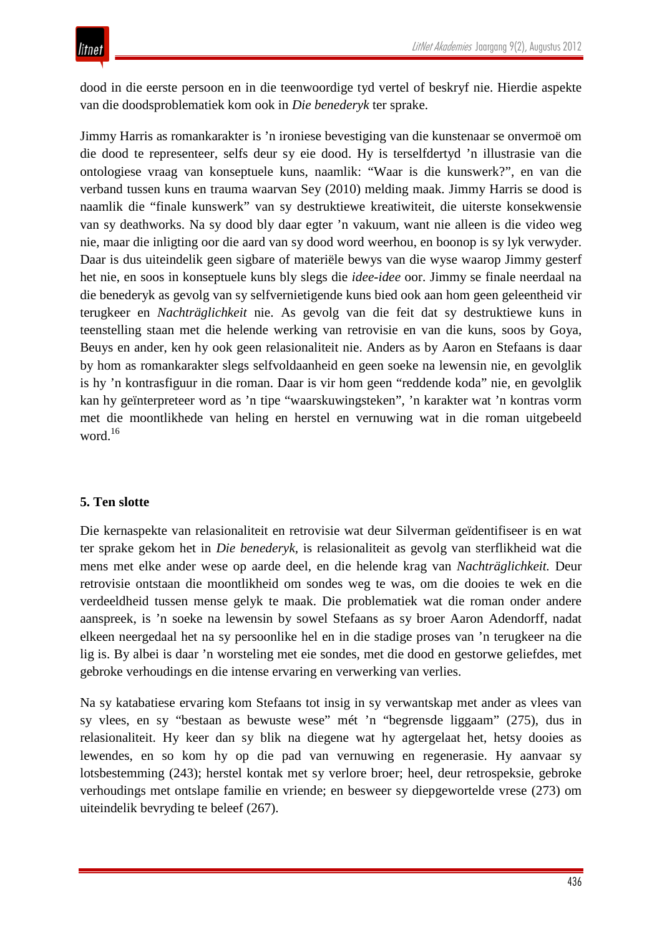dood in die eerste persoon en in die teenwoordige tyd vertel of beskryf nie. Hierdie aspekte van die doodsproblematiek kom ook in *Die benederyk* ter sprake.

Jimmy Harris as romankarakter is 'n ironiese bevestiging van die kunstenaar se onvermoë om die dood te representeer, selfs deur sy eie dood. Hy is terselfdertyd 'n illustrasie van die ontologiese vraag van konseptuele kuns, naamlik: "Waar is die kunswerk?", en van die verband tussen kuns en trauma waarvan Sey (2010) melding maak. Jimmy Harris se dood is naamlik die "finale kunswerk" van sy destruktiewe kreatiwiteit, die uiterste konsekwensie van sy deathworks. Na sy dood bly daar egter 'n vakuum, want nie alleen is die video weg nie, maar die inligting oor die aard van sy dood word weerhou, en boonop is sy lyk verwyder. Daar is dus uiteindelik geen sigbare of materiële bewys van die wyse waarop Jimmy gesterf het nie, en soos in konseptuele kuns bly slegs die *idee-idee* oor. Jimmy se finale neerdaal na die benederyk as gevolg van sy selfvernietigende kuns bied ook aan hom geen geleentheid vir terugkeer en *Nachträglichkeit* nie. As gevolg van die feit dat sy destruktiewe kuns in teenstelling staan met die helende werking van retrovisie en van die kuns, soos by Goya, Beuys en ander, ken hy ook geen relasionaliteit nie. Anders as by Aaron en Stefaans is daar by hom as romankarakter slegs selfvoldaanheid en geen soeke na lewensin nie, en gevolglik is hy 'n kontrasfiguur in die roman. Daar is vir hom geen "reddende koda" nie, en gevolglik kan hy geïnterpreteer word as 'n tipe "waarskuwingsteken", 'n karakter wat 'n kontras vorm met die moontlikhede van heling en herstel en vernuwing wat in die roman uitgebeeld word.<sup>16</sup>

### **5. Ten slotte**

Die kernaspekte van relasionaliteit en retrovisie wat deur Silverman geïdentifiseer is en wat ter sprake gekom het in *Die benederyk,* is relasionaliteit as gevolg van sterflikheid wat die mens met elke ander wese op aarde deel, en die helende krag van *Nachträglichkeit.* Deur retrovisie ontstaan die moontlikheid om sondes weg te was, om die dooies te wek en die verdeeldheid tussen mense gelyk te maak. Die problematiek wat die roman onder andere aanspreek, is 'n soeke na lewensin by sowel Stefaans as sy broer Aaron Adendorff, nadat elkeen neergedaal het na sy persoonlike hel en in die stadige proses van 'n terugkeer na die lig is. By albei is daar 'n worsteling met eie sondes, met die dood en gestorwe geliefdes, met gebroke verhoudings en die intense ervaring en verwerking van verlies.

Na sy katabatiese ervaring kom Stefaans tot insig in sy verwantskap met ander as vlees van sy vlees, en sy "bestaan as bewuste wese" mét 'n "begrensde liggaam" (275), dus in relasionaliteit. Hy keer dan sy blik na diegene wat hy agtergelaat het, hetsy dooies as lewendes, en so kom hy op die pad van vernuwing en regenerasie. Hy aanvaar sy lotsbestemming (243); herstel kontak met sy verlore broer; heel, deur retrospeksie, gebroke verhoudings met ontslape familie en vriende; en besweer sy diepgewortelde vrese (273) om uiteindelik bevryding te beleef (267).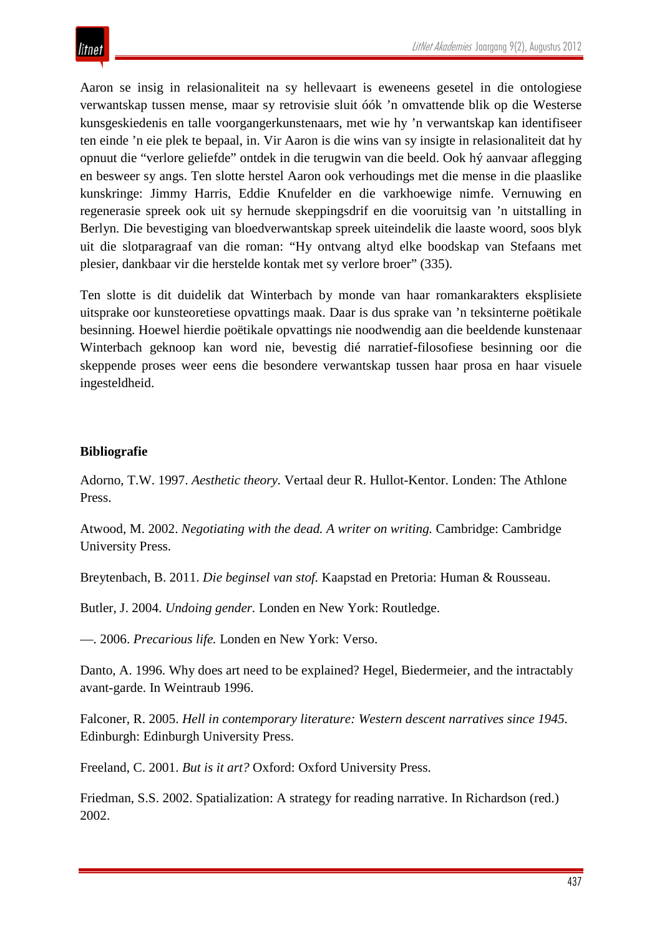Aaron se insig in relasionaliteit na sy hellevaart is eweneens gesetel in die ontologiese verwantskap tussen mense, maar sy retrovisie sluit óók 'n omvattende blik op die Westerse kunsgeskiedenis en talle voorgangerkunstenaars, met wie hy 'n verwantskap kan identifiseer ten einde 'n eie plek te bepaal, in. Vir Aaron is die wins van sy insigte in relasionaliteit dat hy opnuut die "verlore geliefde" ontdek in die terugwin van die beeld. Ook hý aanvaar aflegging en besweer sy angs. Ten slotte herstel Aaron ook verhoudings met die mense in die plaaslike kunskringe: Jimmy Harris, Eddie Knufelder en die varkhoewige nimfe. Vernuwing en regenerasie spreek ook uit sy hernude skeppingsdrif en die vooruitsig van 'n uitstalling in Berlyn. Die bevestiging van bloedverwantskap spreek uiteindelik die laaste woord, soos blyk uit die slotparagraaf van die roman: "Hy ontvang altyd elke boodskap van Stefaans met plesier, dankbaar vir die herstelde kontak met sy verlore broer" (335).

Ten slotte is dit duidelik dat Winterbach by monde van haar romankarakters eksplisiete uitsprake oor kunsteoretiese opvattings maak. Daar is dus sprake van 'n teksinterne poëtikale besinning. Hoewel hierdie poëtikale opvattings nie noodwendig aan die beeldende kunstenaar Winterbach geknoop kan word nie, bevestig dié narratief-filosofiese besinning oor die skeppende proses weer eens die besondere verwantskap tussen haar prosa en haar visuele ingesteldheid.

### **Bibliografie**

Adorno, T.W. 1997. *Aesthetic theory.* Vertaal deur R. Hullot-Kentor. Londen: The Athlone Press.

Atwood, M. 2002. *Negotiating with the dead. A writer on writing.* Cambridge: Cambridge University Press.

Breytenbach, B. 2011. *Die beginsel van stof.* Kaapstad en Pretoria: Human & Rousseau.

Butler, J. 2004. *Undoing gender.* Londen en New York: Routledge.

—. 2006. *Precarious life.* Londen en New York: Verso.

Danto, A. 1996. Why does art need to be explained? Hegel, Biedermeier, and the intractably avant-garde. In Weintraub 1996.

Falconer, R. 2005. *Hell in contemporary literature: Western descent narratives since 1945.*  Edinburgh: Edinburgh University Press.

Freeland, C. 2001. *But is it art?* Oxford: Oxford University Press.

Friedman, S.S. 2002. Spatialization: A strategy for reading narrative. In Richardson (red.) 2002.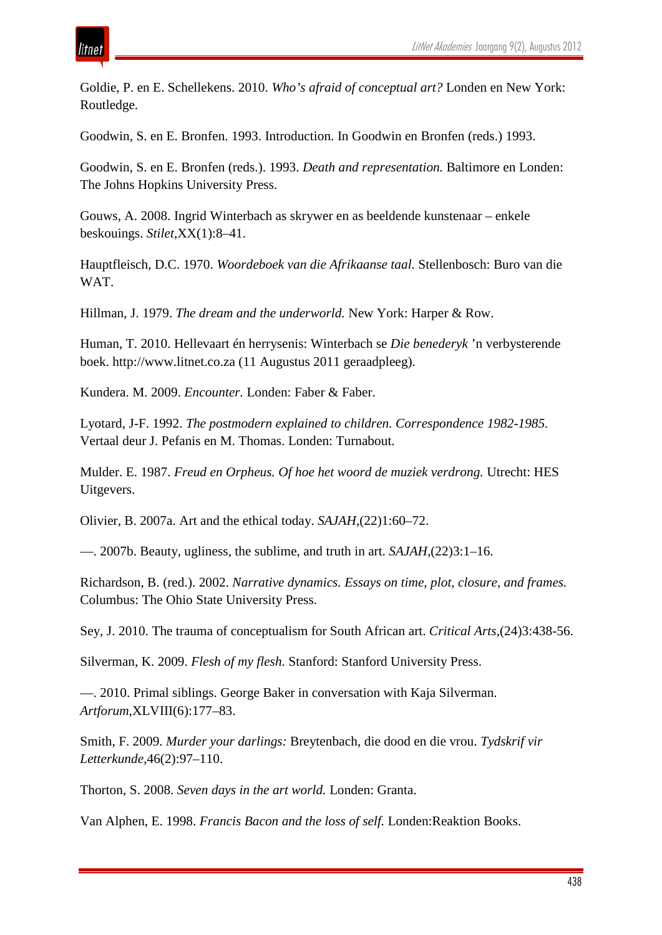

Goldie, P. en E. Schellekens. 2010. *Who's afraid of conceptual art?* Londen en New York: Routledge.

Goodwin, S. en E. Bronfen. 1993. Introduction. In Goodwin en Bronfen (reds.) 1993.

Goodwin, S. en E. Bronfen (reds.). 1993. *Death and representation.* Baltimore en Londen: The Johns Hopkins University Press.

Gouws, A. 2008. Ingrid Winterbach as skrywer en as beeldende kunstenaar – enkele beskouings. *Stilet*,XX(1):8–41.

Hauptfleisch, D.C. 1970. *Woordeboek van die Afrikaanse taal.* Stellenbosch: Buro van die WAT.

Hillman, J. 1979. *The dream and the underworld.* New York: Harper & Row.

Human, T. 2010. Hellevaart én herrysenis: Winterbach se *Die benederyk* 'n verbysterende boek. http://www.litnet.co.za (11 Augustus 2011 geraadpleeg).

Kundera. M. 2009. *Encounter.* Londen: Faber & Faber.

Lyotard, J-F. 1992. *The postmodern explained to children. Correspondence 1982-1985.*  Vertaal deur J. Pefanis en M. Thomas. Londen: Turnabout.

Mulder. E. 1987. *Freud en Orpheus. Of hoe het woord de muziek verdrong.* Utrecht: HES Uitgevers.

Olivier, B. 2007a. Art and the ethical today. *SAJAH*,(22)1:60–72.

—. 2007b. Beauty, ugliness, the sublime, and truth in art. *SAJAH*,(22)3:1–16.

Richardson, B. (red.). 2002. *Narrative dynamics. Essays on time, plot, closure, and frames.*  Columbus: The Ohio State University Press.

Sey, J. 2010. The trauma of conceptualism for South African art. *Critical Arts*,(24)3:438-56.

Silverman, K. 2009. *Flesh of my flesh.* Stanford: Stanford University Press.

—. 2010. Primal siblings. George Baker in conversation with Kaja Silverman. *Artforum*,XLVIII(6):177–83.

Smith, F. 2009. *Murder your darlings:* Breytenbach, die dood en die vrou. *Tydskrif vir Letterkunde*,46(2):97–110.

Thorton, S. 2008. *Seven days in the art world.* Londen: Granta.

Van Alphen, E. 1998. *Francis Bacon and the loss of self.* Londen:Reaktion Books.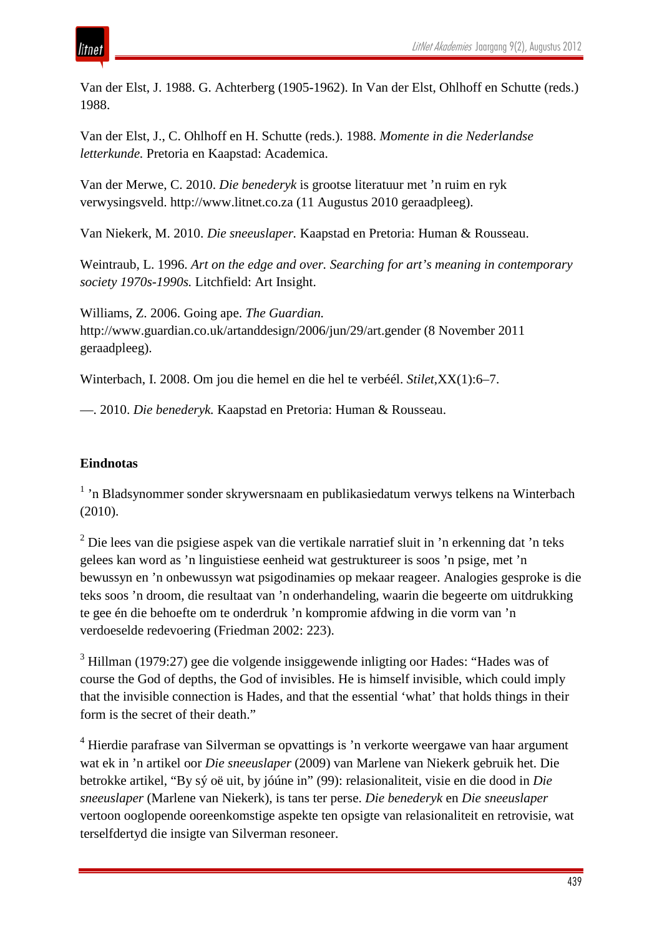Van der Elst, J. 1988. G. Achterberg (1905-1962). In Van der Elst, Ohlhoff en Schutte (reds.) 1988.

Van der Elst, J., C. Ohlhoff en H. Schutte (reds.). 1988. *Momente in die Nederlandse letterkunde.* Pretoria en Kaapstad: Academica.

Van der Merwe, C. 2010. *Die benederyk* is grootse literatuur met 'n ruim en ryk verwysingsveld. http://www.litnet.co.za (11 Augustus 2010 geraadpleeg).

Van Niekerk, M. 2010. *Die sneeuslaper.* Kaapstad en Pretoria: Human & Rousseau.

Weintraub, L. 1996. *Art on the edge and over. Searching for art's meaning in contemporary society 1970s-1990s.* Litchfield: Art Insight.

Williams, Z. 2006. Going ape. *The Guardian.*  http://www.guardian.co.uk/artanddesign/2006/jun/29/art.gender (8 November 2011 geraadpleeg).

Winterbach, I. 2008. Om jou die hemel en die hel te verbéél. *Stilet*,XX(1):6–7.

—. 2010. *Die benederyk.* Kaapstad en Pretoria: Human & Rousseau.

### **Eindnotas**

<sup>1</sup> 'n Bladsynommer sonder skrywersnaam en publikasiedatum verwys telkens na Winterbach (2010).

 $2$  Die lees van die psigiese aspek van die vertikale narratief sluit in 'n erkenning dat 'n teks gelees kan word as 'n linguistiese eenheid wat gestruktureer is soos 'n psige, met 'n bewussyn en 'n onbewussyn wat psigodinamies op mekaar reageer. Analogies gesproke is die teks soos 'n droom, die resultaat van 'n onderhandeling, waarin die begeerte om uitdrukking te gee én die behoefte om te onderdruk 'n kompromie afdwing in die vorm van 'n verdoeselde redevoering (Friedman 2002: 223).

<sup>3</sup> Hillman (1979:27) gee die volgende insiggewende inligting oor Hades: "Hades was of course the God of depths, the God of invisibles. He is himself invisible, which could imply that the invisible connection is Hades, and that the essential 'what' that holds things in their form is the secret of their death."

<sup>4</sup> Hierdie parafrase van Silverman se opvattings is 'n verkorte weergawe van haar argument wat ek in 'n artikel oor *Die sneeuslaper* (2009) van Marlene van Niekerk gebruik het. Die betrokke artikel, "By sý oë uit, by jóúne in" (99): relasionaliteit, visie en die dood in *Die sneeuslaper* (Marlene van Niekerk), is tans ter perse. *Die benederyk* en *Die sneeuslaper*  vertoon ooglopende ooreenkomstige aspekte ten opsigte van relasionaliteit en retrovisie, wat terselfdertyd die insigte van Silverman resoneer.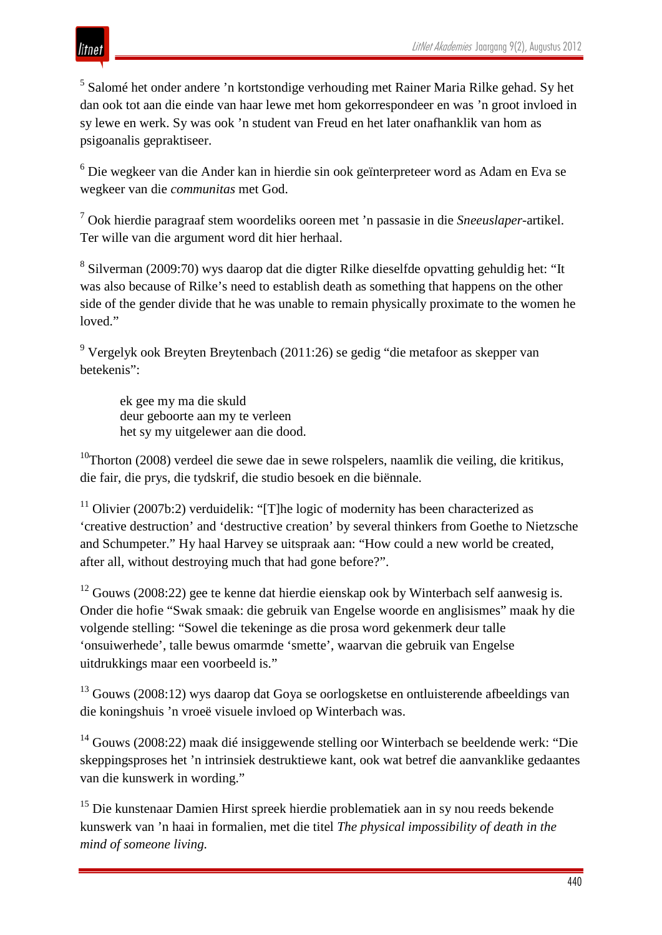## itnet

<sup>5</sup> Salomé het onder andere 'n kortstondige verhouding met Rainer Maria Rilke gehad. Sy het dan ook tot aan die einde van haar lewe met hom gekorrespondeer en was 'n groot invloed in sy lewe en werk. Sy was ook 'n student van Freud en het later onafhanklik van hom as psigoanalis gepraktiseer.

<sup>6</sup> Die wegkeer van die Ander kan in hierdie sin ook geïnterpreteer word as Adam en Eva se wegkeer van die *communitas* met God.

<sup>7</sup> Ook hierdie paragraaf stem woordeliks ooreen met 'n passasie in die *Sneeuslaper*-artikel. Ter wille van die argument word dit hier herhaal.

<sup>8</sup> Silverman (2009:70) wys daarop dat die digter Rilke dieselfde opvatting gehuldig het: "It was also because of Rilke's need to establish death as something that happens on the other side of the gender divide that he was unable to remain physically proximate to the women he loved."

<sup>9</sup> Vergelyk ook Breyten Breytenbach (2011:26) se gedig "die metafoor as skepper van betekenis":

ek gee my ma die skuld deur geboorte aan my te verleen het sy my uitgelewer aan die dood.

 $10$ Thorton (2008) verdeel die sewe dae in sewe rolspelers, naamlik die veiling, die kritikus, die fair, die prys, die tydskrif, die studio besoek en die biënnale.

<sup>11</sup> Olivier (2007b:2) verduidelik: "[T]he logic of modernity has been characterized as 'creative destruction' and 'destructive creation' by several thinkers from Goethe to Nietzsche and Schumpeter." Hy haal Harvey se uitspraak aan: "How could a new world be created, after all, without destroying much that had gone before?".

 $12$  Gouws (2008:22) gee te kenne dat hierdie eienskap ook by Winterbach self aanwesig is. Onder die hofie "Swak smaak: die gebruik van Engelse woorde en anglisismes" maak hy die volgende stelling: "Sowel die tekeninge as die prosa word gekenmerk deur talle 'onsuiwerhede', talle bewus omarmde 'smette', waarvan die gebruik van Engelse uitdrukkings maar een voorbeeld is."

<sup>13</sup> Gouws (2008:12) wys daarop dat Goya se oorlogsketse en ontluisterende afbeeldings van die koningshuis 'n vroeë visuele invloed op Winterbach was.

<sup>14</sup> Gouws (2008:22) maak dié insiggewende stelling oor Winterbach se beeldende werk: "Die skeppingsproses het 'n intrinsiek destruktiewe kant, ook wat betref die aanvanklike gedaantes van die kunswerk in wording."

<sup>15</sup> Die kunstenaar Damien Hirst spreek hierdie problematiek aan in sy nou reeds bekende kunswerk van 'n haai in formalien, met die titel *The physical impossibility of death in the mind of someone living.*